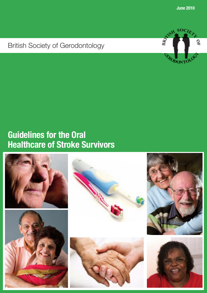British Society of Gerodontology



# **Guidelines for the Oral Healthcare of Stroke Survivors**

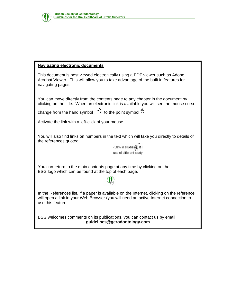

#### **Navigating electronic documents**

This document is best viewed electronically using a PDF viewer such as Adobe Acrobat Viewer. This will allow you to take advantage of the built in features for navigating pages.

You can move directly from the contents page to any chapter in the document by clicking on the title. When an electronic link is available you will see the mouse cursor

change from the hand symbol  $\sqrt[8^n]{ }$  to the point symbol  $\sqrt[8^n]{ }$ 

Activate the link with a left-click of your mouse.

You will also find links on numbers in the text which will take you directly to details of the references quoted.

> - 50% in studies∭. It is use of different study

You can return to the main contents page at any time by clicking on the BSG logo which can be found at the top of each page.

In the References list, if a paper is available on the Internet, clicking on the reference will open a link in your Web Browser (you will need an active Internet connection to use this feature.

BSG welcomes comments on its publications, you can contact us by email **guidelines@gerodontology.com**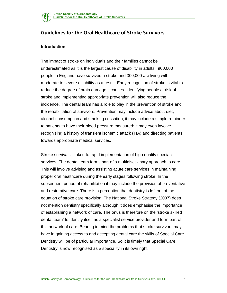

# **Guidelines for the Oral Healthcare of Stroke Survivors**

#### **Introduction**

The impact of stroke on individuals and their families cannot be underestimated as it is the largest cause of disability in adults. 900,000 people in England have survived a stroke and 300,000 are living with moderate to severe disability as a result. Early recognition of stroke is vital to reduce the degree of brain damage it causes. Identifying people at risk of stroke and implementing appropriate prevention will also reduce the incidence. The dental team has a role to play in the prevention of stroke and the rehabilitation of survivors. Prevention may include advice about diet, alcohol consumption and smoking cessation; it may include a simple reminder to patients to have their blood pressure measured; it may even involve recognising a history of transient ischemic attack (TIA) and directing patients towards appropriate medical services.

Stroke survival is linked to rapid implementation of high quality specialist services. The dental team forms part of a multidisciplinary approach to care. This will involve advising and assisting acute care services in maintaining proper oral healthcare during the early stages following stroke. In the subsequent period of rehabilitation it may include the provision of preventative and restorative care. There is a perception that dentistry is left out of the equation of stroke care provision. The National Stroke Strategy (2007) does not mention dentistry specifically although it does emphasise the importance of establishing a network of care. The onus is therefore on the 'stroke skilled dental team' to identify itself as a specialist service provider and form part of this network of care. Bearing in mind the problems that stroke survivors may have in gaining access to and accepting dental care the skills of Special Care Dentistry will be of particular importance. So it is timely that Special Care Dentistry is now recognised as a speciality in its own right.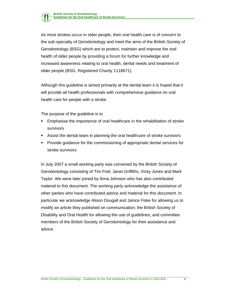

As most strokes occur in older people, their oral health care is of concern to the sub-specialty of Gerodontology and meet the aims of the British Society of Gerodontology (BSG) which are to protect, maintain and improve the oral health of older people by providing a forum for further knowledge and increased awareness relating to oral health, dental needs and treatment of older people (BSG, Registered Charity 1118671).

Although this guideline is aimed primarily at the dental team it is hoped that it will provide all health professionals with comprehensive guidance on oral health care for people with a stroke.

The purpose of the guideline is to

- Emphasise the importance of oral healthcare in the rehabilitation of stroke survivors
- Assist the dental team in planning the oral healthcare of stroke survivors
- Provide guidance for the commissioning of appropriate dental services for stroke survivors

In July 2007 a small working party was convened by the British Society of Gerodontology consisting of Tim Friel, Janet Griffiths, Vicky Jones and Mark Taylor. We were later joined by Ilona Johnson who has also contributed material to this document. The working party acknowledge the assistance of other parties who have contributed advice and material for this document. In particular we acknowledge Alison Dougall and Janice Fiske for allowing us to modify an article they published on communication; the British Society of Disability and Oral Health for allowing the use of guidelines; and committee members of the British Society of Gerodontology for their assistance and advice.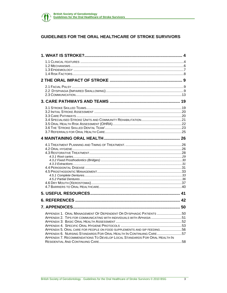<span id="page-4-0"></span>

#### GUIDELINES FOR THE ORAL HEALTHCARE OF STROKE SURVIVORS

| APPENDIX 1. ORAL MANAGEMENT OF DEPENDENT OR DYSPHAGIC PATIENTS  50<br>APPENDIX 2. TIPS FOR COMMUNICATING WITH INDIVIDUALS WITH APHASIA 51<br>APPENDIX 5. ORAL CARE FOR PEOPLE ON FOOD SUPPLEMENTS AND SIP FEEDING 56<br>APPENDIX 6. NURSING STANDARDS FOR ORAL HEALTH IN CONTINUING CARE 57<br>APPENDIX 7. RECOMMENDATIONS TO DEVELOP LOCAL STANDARDS FOR ORAL HEALTH IN |  |
|--------------------------------------------------------------------------------------------------------------------------------------------------------------------------------------------------------------------------------------------------------------------------------------------------------------------------------------------------------------------------|--|
|                                                                                                                                                                                                                                                                                                                                                                          |  |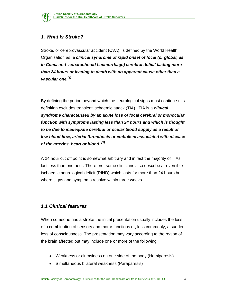# <span id="page-5-0"></span>*1. What Is Stroke?*

Stroke, or cerebrovascular accident (CVA), is defined by the World Health Organisation as: *a clinical syndrome of rapid onset of focal (or global, as in Coma and subarachnoid haemorrhage) cerebral deficit lasting more than 24 hours or leading to death with no apparent cause other than a vascular one[.\[1\]](#page-43-0)*

By defining the period beyond which the neurological signs must continue this definition excludes transient ischaemic attack (TIA). TIA is a *clinical syndrome characterised by an acute loss of focal cerebral or monocular function with symptoms lasting less than 24 hours and which is thought to be due to inadequate cerebral or ocular blood supply as a result of low blood flow, arterial thrombosis or embolism associated with disease of the arteries, heart or blood[. \[2\]](#page-43-0)*

A 24 hour cut off point is somewhat arbitrary and in fact the majority of TIAs last less than one hour. Therefore, some clinicians also describe a reversible ischaemic neurological deficit (RIND) which lasts for more than 24 hours but where signs and symptoms resolve within three weeks.

## *1.1 Clinical features*

When someone has a stroke the initial presentation usually includes the loss of a combination of sensory and motor functions or, less commonly, a sudden loss of consciousness. The presentation may vary according to the region of the brain affected but may include one or more of the following:

- Weakness or clumsiness on one side of the body (Hemiparesis)
- Simultaneous bilateral weakness (Paraparesis)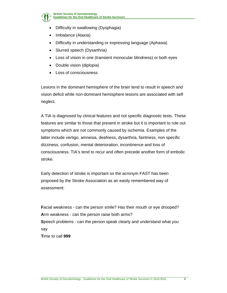<span id="page-6-0"></span>

- Difficulty in swallowing (Dysphagia)
- Imbalance (Ataxia)
- Difficulty in understanding or expressing language (Aphasia)
- Slurred speech (Dysarthria)
- Loss of vision in one (transient monocular blindness) or both eyes
- Double vision (diplopia)
- Loss of consciousness

Lesions in the dominant hemisphere of the brain tend to result in speech and vision deficit while non-dominant hemisphere lesions are associated with self neglect.

A TIA is diagnosed by clinical features and not specific diagnostic tests. These features are similar to those that present in stroke but it is important to rule out symptoms which are not commonly caused by ischemia. Examples of the latter include vertigo, amnesia, deafness, dysarthria, faintness, non specific dizziness, confusion, mental deterioration, incontinence and loss of consciousness. TIA's tend to recur and often precede another form of embolic stroke.

Early detection of stroke is important so the acronym FAST has been proposed by the Stroke Association as an easily remembered way of assessment:

**F**acial weakness - can the person smile? Has their mouth or eye drooped? **A**rm weakness - can the person raise both arms? **S**peech problems - can the person speak clearly and understand what you say

**T**ime to call **999**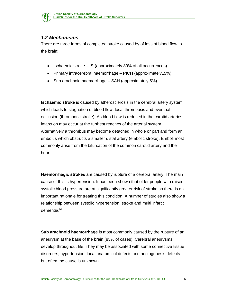<span id="page-7-0"></span>

## *1.2 Mechanisms*

There are three forms of completed stroke caused by of loss of blood flow to the brain:

- Ischaemic stroke IS (approximately 80% of all occurrences)
- Primary intracerebral haemorrhage PICH (approximately15%)
- Sub arachnoid haemorrhage SAH (approximately 5%)

**Ischaemic stroke** is caused by atherosclerosis in the cerebral artery system which leads to stagnation of blood flow, local thrombosis and eventual occlusion (thrombotic stroke). As blood flow is reduced in the carotid arteries infarction may occur at the furthest reaches of the arterial system. Alternatively a thrombus may become detached in whole or part and form an embolus which obstructs a smaller distal artery (embolic stroke). Emboli most commonly arise from the bifurcation of the common carotid artery and the heart.

**Haemorrhagic strokes** are caused by rupture of a cerebral artery. The main cause of this is hypertension. It has been shown that older people with raised systolic blood pressure are at significantly greater risk of stroke so there is an important rationale for treating this condition. A number of studies also show a relationship between systolic hypertension, stroke and multi infarct dementia.<sup>[3]</sup>

**Sub arachnoid haemorrhage** is most commonly caused by the rupture of an aneurysm at the base of the brain (85% of cases). Cerebral aneurysms develop throughout life. They may be associated with some connective tissue disorders, hypertension, local anatomical defects and angiogenesis defects but often the cause is unknown.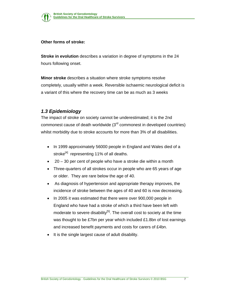<span id="page-8-0"></span>

#### **Other forms of stroke:**

**Stroke in evolution** describes a variation in degree of symptoms in the 24 hours following onset.

**Minor stroke** describes a situation where stroke symptoms resolve completely, usually within a week. Reversible ischaemic neurological deficit is a variant of this where the recovery time can be as much as 3 weeks

# *1.3 Epidemiology*

The impact of stroke on society cannot be underestimated; it is the 2nd commonest cause of death worldwide  $(3<sup>rd</sup>$  commonest in developed countries) whilst morbidity due to stroke accounts for more than 3% of all disabilities.

- In 1999 approximately 56000 people in England and Wales died of a stroke<sup>[4]</sup> representing 11% of all deaths.
- $20 30$  per cent of people who have a stroke die within a month
- Three-quarters of all strokes occur in people who are 65 years of age or older. They are rare below the age of 40.
- As diagnosis of hypertension and appropriate therapy improves, the incidence of stroke between the ages of 40 and 60 is now decreasing.
- In 2005 it was estimated that there were over 900,000 people in England who have had a stroke of which a third have been left with moderate to severe disability<sup>[5]</sup>. The overall cost to society at the time was thought to be £7bn per year which included £1.8bn of lost earnings and increased benefit payments and costs for carers of £4bn.
- It is the single largest cause of adult disability.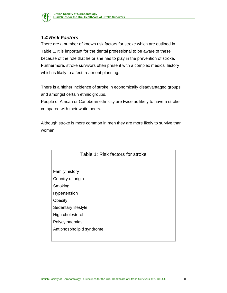<span id="page-9-0"></span>

# *1.4 Risk Factors*

There are a number of known risk factors for stroke which are outlined in Table 1. It is important for the dental professional to be aware of these because of the role that he or she has to play in the prevention of stroke. Furthermore, stroke survivors often present with a complex medical history which is likely to affect treatment planning.

There is a higher incidence of stroke in economically disadvantaged groups and amongst certain ethnic groups.

People of African or Caribbean ethnicity are twice as likely to have a stroke compared with their white peers.

Although stroke is more common in men they are more likely to survive than women.

| Table 1: Risk factors for stroke |  |  |  |  |  |
|----------------------------------|--|--|--|--|--|
|                                  |  |  |  |  |  |
| <b>Family history</b>            |  |  |  |  |  |
| Country of origin                |  |  |  |  |  |
| Smoking                          |  |  |  |  |  |
| Hypertension                     |  |  |  |  |  |
| Obesity                          |  |  |  |  |  |
| Sedentary lifestyle              |  |  |  |  |  |
| High cholesterol                 |  |  |  |  |  |
| Polycythaemias                   |  |  |  |  |  |
| Antiphospholipid syndrome        |  |  |  |  |  |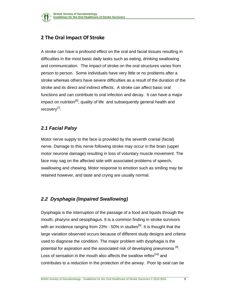# <span id="page-10-0"></span>**2 The Oral Impact Of Stroke**

A stroke can have a profound effect on the oral and facial tissues resulting in difficulties in the most basic daily tasks such as eating, drinking swallowing and communication. The impact of stroke on the oral structures varies from person to person. Some individuals have very little or no problems after a stroke whereas others have severe difficulties as a result of the duration of the stroke and its direct and indirect effects. A stroke can affect basic oral functions and can contribute to oral infection and decay. It can have a major impact on nutrition<sup>[6]</sup>, quality of life and subsequently general health and recovery<sup>[7]</sup>.

# *2.1 Facial Palsy*

Motor nerve supply to the face is provided by the seventh cranial (facial) nerve. Damage to this nerve following stroke may occur in the brain (upper motor neurone damage) resulting in loss of voluntary muscle movement. The face may sag on the affected side with associated problems of speech, swallowing and chewing. Motor response to emotion such as smiling may be retained however, and taste and crying are usually normal.

# *2.2 Dysphagia (Impaired Swallowing)*

Dysphagia is the interruption of the passage of a food and liquids through the mouth, pharynx and oesophagus. It is a common finding in stroke survivors with an incidence ranging from 23% - 50% in studies<sup>[8]</sup>. It is thought that the large variation observed occurs because of different study designs and criteria used to diagnose the condition. The major problem with dysphagia is the potential for aspiration and the associated risk of developing pneumonia  $[9]$ . Loss of sensation in the mouth also affects the swallow reflex<sup>[10]</sup> and contributes to a reduction in the protection of the airway. Poor lip seal can be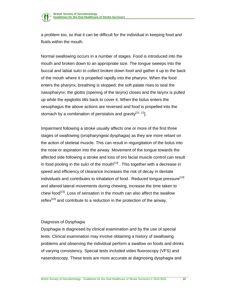<span id="page-11-0"></span>

a problem too, so that it can be difficult for the individual in keeping food and fluids within the mouth.

Normal swallowing occurs in a number of stages. Food is introduced into the mouth and broken down to an appropriate size. The tongue sweeps into the buccal and labial sulci to collect broken down food and gather it up to the back of the mouth where it is propelled rapidly into the pharynx. When the food enters the pharynx, breathing is stopped; the soft palate rises to seal the nasopharynx; the glottis (opening of the larynx) closes and the larynx is pulled up while the epiglottis tilts back to cover it. When the bolus enters the oesophagus the above actions are reversed and food is propelled into the stomach by a combination of peristalsis and gravity<sup>[11, 12</sup>].

Impairment following a stroke usually affects one or more of the first three stages of swallowing (oropharyngeal dysphagia) as they are more reliant on the action of skeletal muscle. This can result in regurgitation of the bolus into the nose or aspiration into the airway. Movement of the tongue towards the affected side following a stroke and loss of oro facial muscle control can result in food pooling in the sulci of the mouth<sup>[13]</sup>. This together with a decrease in speed and efficiency of clearance increases the risk of decay in dentate individuals and contributes to inhalation of food. Reduced tongue pressure<sup>[\[14\]](#page-44-0)</sup> and altered lateral movements during chewing, increase the time taken to chew food<sup>[15]</sup>. Loss of sensation in the mouth can also affect the swallow reflex<sup>[10]</sup> and contribute to a reduction in the protection of the airway.

#### Diagnosis of Dysphagia

Dysphagia is diagnosed by clinical examination and by the use of special tests. Clinical examination may involve obtaining a history of swallowing problems and observing the individual perform a swallow on foods and drinks of varying consistency. Special tests included video fluoroscopy (VFS) and nasendoscopy. These tests are more accurate at diagnosing dysphagia and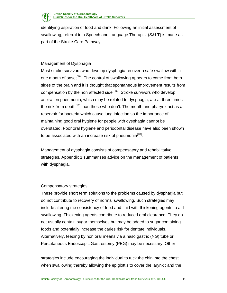

identifying aspiration of food and drink. Following an initial assessment of swallowing, referral to a Speech and Language Therapist (S&LT) is made as part of the Stroke Care Pathway.

#### Management of Dysphagia

Most stroke survivors who develop dysphagia recover a safe swallow within one month of onset<sup>[16]</sup>. The control of swallowing appears to come from both sides of the brain and it is thought that spontaneous improvement results from compensation by the non affected side  $[16]$ . Stroke survivors who develop aspiration pneumonia, which may be related to dysphagia, are at three times the risk from death<sup>[17]</sup> than those who don't. The mouth and pharynx act as a reservoir for bacteria which cause lung infection so the importance of maintaining good oral hygiene for people with dysphagia cannot be overstated. Poor oral hygiene and periodontal disease have also been shown to be associated with an increase risk of pneumonia<sup>[18]</sup>.

Management of dysphagia consists of compensatory and rehabilitative strategies[. Appendix 1](#page-51-0) summarises advice on the management of patients with dysphagia.

Compensatory strategies.

These provide short term solutions to the problems caused by dysphagia but do not contribute to recovery of normal swallowing. Such strategies may include altering the consistency of food and fluid with thickening agents to aid swallowing. Thickening agents contribute to reduced oral clearance. They do not usually contain sugar themselves but may be added to sugar containing foods and potentially increase the caries risk for dentate individuals. Alternatively, feeding by non oral means via a naso gastric (NG) tube or Percutaneous Endoscopic Gastrostomy (PEG) may be necessary. Other

strategies include encouraging the individual to tuck the chin into the chest when swallowing thereby allowing the epiglottis to cover the larynx ; and the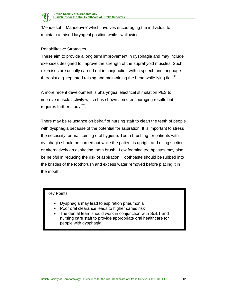

'Mendelsohn Manoeuvre' which involves encouraging the individual to maintain a raised laryngeal position while swallowing.

#### Rehabilitative Strategies

These aim to provide a long term improvement in dysphagia and may include exercises designed to improve the strength of the suprahyoid muscles. Such exercises are usually carried out in conjunction with a speech and language therapist e.g. repeated raising and maintaining the head while lying flat<sup>[19]</sup>.

A more recent development is pharyngeal electrical stimulation PES to improve muscle activity which has shown some encouraging results but requires further study<sup>[20]</sup>.

There may be reluctance on behalf of nursing staff to clean the teeth of people with dysphagia because of the potential for aspiration. It is important to stress the necessity for maintaining oral hygiene. Tooth brushing for patients with dysphagia should be carried out while the patient is upright and using suction or alternatively an aspirating tooth brush. Low foaming toothpastes may also be helpful in reducing the risk of aspiration. Toothpaste should be rubbed into the bristles of the toothbrush and excess water removed before placing it in the mouth.

Key Points:

- Dysphagia may lead to aspiration pneumonia
- Poor oral clearance leads to higher caries risk
- The dental team should work in conjunction with S&LT and nursing care staff to provide appropriate oral healthcare for people with dysphagia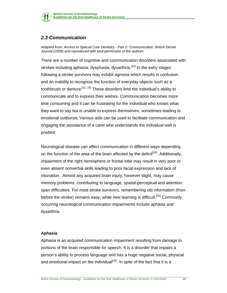<span id="page-14-0"></span>

# *2.3 Communication*

*Adapted from: Access to Special Care Dentistry - Part 2: Communication. British Dental Journal (2008) and reproduced with kind permission of the authors* 

There are a number of cognitive and communication disorders associated with strokes including aphasia, dysphasia, dysarthria.<sup>[21]</sup> In the early stages following a stroke survivors may exhibit agnosia which results in confusion and an inability to recognize the function of everyday objects such as a toothbrush or denture<sup>[22, 23]</sup> These disorders limit the individual's ability to communicate and to express their wishes. Communication becomes more time consuming and it can be frustrating for the individual who knows what they want to say but is unable to express themselves, sometimes leading to emotional outbursts. Various aids can be used to facilitate communication and engaging the assistance of a carer who understands the individual well is prudent.

Neurological disease can affect communication in different ways depending on the function of the area of the brain affected by the deficit<sup>[24]</sup>. Additionally, impairment of the right hemisphere or frontal lobe may result in very poor or even absent nonverbal skills leading to poor facial expression and lack of intonation. Almost any acquired brain injury, however slight, may cause memory problems, contributing to language, spatial-perceptual and attention span difficulties. For most stroke survivors, remembering old information (from before the stroke) remains easy, while new learning is difficult.<sup>[25]</sup> Commonly occurring neurological communication impairments include aphasia and dysarthria.

#### **Aphasia**

Aphasia is an acquired communication impairment resulting from damage to portions of the brain responsible for speech. It is a disorder that impairs a person's ability to process language and has a huge negative social, physical and emotional impact on the individual<sup>[26]</sup>. In spite of the fact that it is a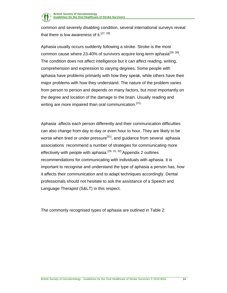

common and severely disabling condition, several international surveys reveal that there is low awareness of it.<sup>[27, 28]</sup>

Aphasia usually occurs suddenly following a stroke. Stroke is the most common cause where 23-40% of survivors acquire long-term aphasia<sup>[29, 30]</sup>. The condition does not affect intelligence but it can affect reading, writing, comprehension and expression to varying degrees. Some people with aphasia have problems primarily with how they speak, while others have their major problems with how they understand. The nature of the problem varies from person to person and depends on many factors, but most importantly on the degree and location of the damage to the brain. Usually reading and writing are more impaired than oral communication.<sup>[21]</sup>

Aphasia affects each person differently and their communication difficulties can also change from day to day or even hour to hour. They are likely to be worse when tired or under pressure<sup>[31]</sup>, and guidance from several aphasia associations recommend a number of strategies for communicating more effectively with people with aphasia.<sup>[29, 31, 32]</sup> [Appendix 2](#page-52-0) outlines recommendations for communicating with individuals with aphasia. It is important to recognise and understand the type of aphasia a person has, how it affects their communication and to adapt techniques accordingly. Dental professionals should not hesitate to ask the assistance of a Speech and Language Therapist (S&LT) in this respect.

The commonly recognised types of aphasia are outlined in [Table 2:](#page-16-0)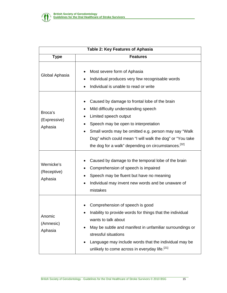<span id="page-16-0"></span>

| <b>Table 2: Key Features of Aphasia</b> |                                                                                                                                                                                                                                                                                                                                                    |  |  |  |  |  |
|-----------------------------------------|----------------------------------------------------------------------------------------------------------------------------------------------------------------------------------------------------------------------------------------------------------------------------------------------------------------------------------------------------|--|--|--|--|--|
| <b>Type</b>                             | <b>Features</b>                                                                                                                                                                                                                                                                                                                                    |  |  |  |  |  |
| Global Aphasia                          | Most severe form of Aphasia<br>Individual produces very few recognisable words<br>$\bullet$<br>Individual is unable to read or write                                                                                                                                                                                                               |  |  |  |  |  |
| Broca's<br>(Expressive)<br>Aphasia      | Caused by damage to frontal lobe of the brain<br>Mild difficulty understanding speech<br>٠<br>Limited speech output<br>Speech may be open to interpretation<br>Small words may be omitted e.g. person may say "Walk<br>Dog" which could mean "I will walk the dog" or "You take<br>the dog for a walk" depending on circumstances. <sup>[32]</sup> |  |  |  |  |  |
| Wernicke's<br>(Receptive)<br>Aphasia    | Caused by damage to the temporal lobe of the brain<br>Comprehension of speech is impaired<br>Speech may be fluent but have no meaning<br>Individual may invent new words and be unaware of<br>$\bullet$<br>mistakes                                                                                                                                |  |  |  |  |  |
| Anomic<br>(Amnesic)<br>Aphasia          | Comprehension of speech is good<br>Inability to provide words for things that the individual<br>wants to talk about<br>May be subtle and manifest in unfamiliar surroundings or<br>stressful situations<br>Language may include words that the individual may be<br>$\bullet$<br>unlikely to come across in everyday life. <sup>[21]</sup>         |  |  |  |  |  |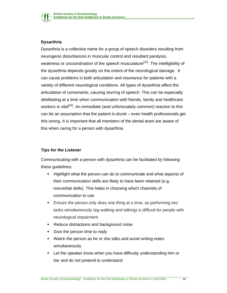

#### **Dysarthria**

Dysarthria is a collective name for a group of speech disorders resulting from neurogenic disturbances in muscular control and resultant paralysis, weakness or uncoordination of the speech musculature<sup>[33]</sup>. The intelligibility of the dysarthria depends greatly on the extent of the neurological damage. It can cause problems in both articulation and resonance for patients with a variety of different neurological conditions. All types of dysarthria affect the articulation of consonants, causing slurring of speech. This can be especially debilitating at a time when communication with friends, family and healthcare workers is vital<sup>[34]</sup>. An immediate (and unfortunately common) reaction to this can be an assumption that the patient is drunk – even health professionals get this wrong. It is important that all members of the dental team are aware of this when caring for a person with dysarthria.

#### **Tips for the Listener**

Communicating with a person with dysarthria can be facilitated by following these guidelines:

- **Highlight what the person can do to communicate and what aspects of** their communication skills are likely to have been retained (e.g. nonverbal skills). This helps in choosing which channels of communication to use
- Ensure the person only does one thing at a time, as performing two tasks simultaneously (eg walking and talking) is difficult for people with neurological impairment
- Reduce distractions and background noise
- Give the person time to reply
- Watch the person as he or she talks and avoid writing notes simultaneously
- Let the speaker know when you have difficulty understanding him or her and do not pretend to understand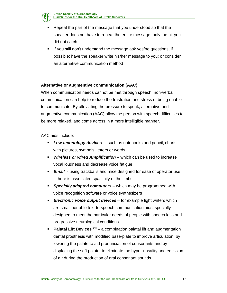

- Repeat the part of the message that you understood so that the speaker does not have to repeat the entire message, only the bit you did not catch
- If you still don't understand the message ask yes/no questions, if possible; have the speaker write his/her message to you; or consider an alternative communication method

#### **Alternative or augmentive communication (AAC)**

When communication needs cannot be met through speech, non-verbal communication can help to reduce the frustration and stress of being unable to communicate. By alleviating the pressure to speak, alternative and augmentive communication (AAC) allow the person with speech difficulties to be more relaxed, and come across in a more intelligible manner.

AAC aids include:

- *Low technology devices* such as notebooks and pencil, charts with pictures, symbols, letters or words
- *Wireless or wired Amplification* which can be used to increase vocal loudness and decrease voice fatigue
- *Email* using trackballs and mice designed for ease of operator use if there is associated spasticity of the limbs
- *Specially adapted computers* which may be programmed with voice recognition software or voice synthesizers
- *Electronic voice output devices* for example light writers which are small portable text-to-speech communication aids, specially designed to meet the particular needs of people with speech loss and progressive neurological conditions.
- **Palatal Lift Devices**<sup>[34]</sup> a combination palatal lift and augmentation dental prosthesis with modified base-plate to improve articulation, by lowering the palate to aid pronunciation of consonants and by displacing the soft palate, to eliminate the hyper-nasality and emission of air during the production of oral consonant sounds.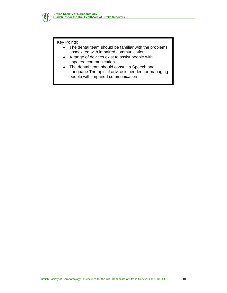

Key Points:

- The dental team should be familiar with the problems associated with impaired communication
- A range of devices exist to assist people with impaired communication
- The dental team should consult a Speech and Language Therapist if advice is needed for managing people with impaired communication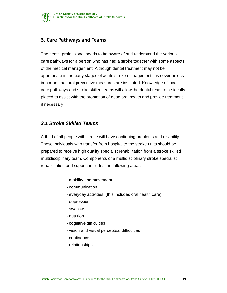# <span id="page-20-0"></span>**3. Care Pathways and Teams**

The dental professional needs to be aware of and understand the various care pathways for a person who has had a stroke together with some aspects of the medical management. Although dental treatment may not be appropriate in the early stages of acute stroke management it is nevertheless important that oral preventive measures are instituted. Knowledge of local care pathways and stroke skilled teams will allow the dental team to be ideally placed to assist with the promotion of good oral health and provide treatment if necessary.

## *3.1 Stroke Skilled Teams*

A third of all people with stroke will have continuing problems and disability. Those individuals who transfer from hospital to the stroke units should be prepared to receive high quality specialist rehabilitation from a stroke skilled multidisciplinary team. Components of a multidisciplinary stroke specialist rehabilitation and support includes the following areas

- mobility and movement
- communication
- everyday activities (this includes oral health care)
- depression
- swallow
- nutrition
- cognitive difficulties
- vision and visual perceptual difficulties
- continence
- relationships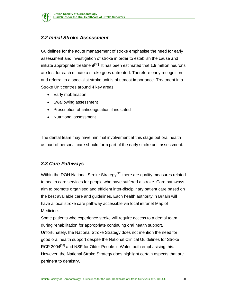## <span id="page-21-0"></span>*3.2 Initial Stroke Assessment*

Guidelines for the acute management of stroke emphasise the need for early assessment and investigation of stroke in order to establish the cause and initiate appropriate treatment<sup>[35]</sup> It has been estimated that 1.9 million neurons are lost for each minute a stroke goes untreated. Therefore early recognition and referral to a specialist stroke unit is of utmost importance. Treatment in a Stroke Unit centres around 4 key areas.

- Early mobilisation
- Swallowing assessment
- Prescription of anticoagulation if indicated
- Nutritional assessment

The dental team may have minimal involvement at this stage but oral health as part of personal care should form part of the early stroke unit assessment.

## *3.3 Care Pathways*

Within the DOH National Stroke Strategy<sup>[36]</sup> there are quality measures related to health care services for people who have suffered a stroke. Care pathways aim to promote organised and efficient inter-disciplinary patient care based on the best available care and guidelines. Each health authority in Britain will have a local stroke care pathway accessible via local intranet Map of Medicine.

Some patients who experience stroke will require access to a dental team during rehabilitation for appropriate continuing oral health support. Unfortunately, the National Stroke Strategy does not mention the need for good oral health support despite the National Clinical Guidelines for Stroke RCP 2004<sup>[37]</sup> and NSF for Older People in Wales both emphasising this. However, the National Stroke Strategy does highlight certain aspects that are pertinent to dentistry.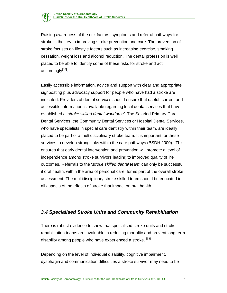

Raising awareness of the risk factors, symptoms and referral pathways for stroke is the key to improving stroke prevention and care. The prevention of stroke focuses on lifestyle factors such as increasing exercise, smoking cessation, weight loss and alcohol reduction. The dental profession is well placed to be able to identify some of these risks for stroke and act accordingly<sup>[36]</sup>.

Easily accessible information, advice and support with clear and appropriate signposting plus advocacy support for people who have had a stroke are indicated. Providers of dental services should ensure that useful, current and accessible information is available regarding local dental services that have established a '*stroke skilled dental workforce'*. The Salaried Primary Care Dental Services, the Community Dental Services or Hospital Dental Services, who have specialists in special care dentistry within their team, are ideally placed to be part of a multidisciplinary stroke team. It is important for these services to develop strong links within the care pathways (BSDH 2000). This ensures that early dental intervention and prevention will promote a level of independence among stroke survivors leading to improved quality of life outcomes. Referrals to the '*stroke skilled dental team*' can only be successful if oral health, within the area of personal care, forms part of the overall stroke assessment. The multidisciplinary stroke skilled team should be educated in all aspects of the effects of stroke that impact on oral health.

## *3.4 Specialised Stroke Units and Community Rehabilitation*

There is robust evidence to show that specialised stroke units and stroke rehabilitation teams are invaluable in reducing mortality and prevent long term disability among people who have experienced a stroke. [38]

Depending on the level of individual disability, cognitive impairment, dysphagia and communication difficulties a stroke survivor may need to be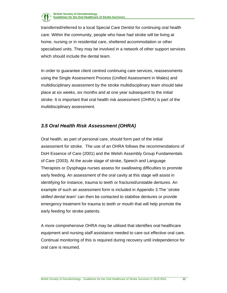<span id="page-23-0"></span>

transferred/referred to a local Special Care Dentist for continuing oral health care. Within the community, people who have had stroke will be living at home, nursing or in residential care, sheltered accommodation or other specialised units. They may be involved in a network of other support services which should include the dental team.

In order to guarantee client centred continuing care services, reassessments using the Single Assessment Process (Unified Assessment in Wales) and multidisciplinary assessment by the stroke multidisciplinary team should take place at six weeks, six months and at one year subsequent to the initial stroke. It is important that oral health risk assessment (OHRA) is part of the multidisciplinary assessment.

## *3.5 Oral Health Risk Assessment (OHRA)*

Oral health, as part of personal care, should form part of the initial assessment for stroke. The use of an OHRA follows the recommendations of DoH Essence of Care (2001) and the Welsh Assembly Group Fundamentals of Care (2003). At the acute stage of stroke, Speech and Language Therapists or Dysphagia nurses assess for swallowing difficulties to promote early feeding. An assessment of the oral cavity at this stage will assist in identifying for instance, trauma to teeth or fractured/unstable dentures. An example of such an assessment form is included in [Appendix 3.T](#page-53-0)he '*stroke skilled dental team'* can then be contacted to stabilise dentures or provide emergency treatment for trauma to teeth or mouth that will help promote the early feeding for stroke patients.

A more comprehensive OHRA may be utilised that identifies oral healthcare equipment and nursing staff assistance needed to care out effective oral care. Continual monitoring of this is required during recovery until independence for oral care is resumed.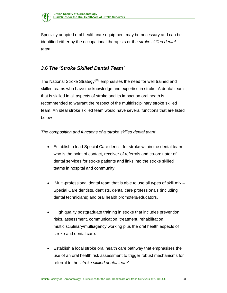<span id="page-24-0"></span>

Specially adapted oral health care equipment may be necessary and can be identified either by the occupational therapists or the *stroke skilled dental team*.

# *3.6 The 'Stroke Skilled Dental Team'*

The National Stroke Strategy<sup>[36]</sup> emphasises the need for well trained and skilled teams who have the knowledge and expertise in stroke. A dental team that is skilled in all aspects of stroke and its impact on oral heath is recommended to warrant the respect of the multidisciplinary stroke skilled team. An ideal stroke skilled team would have several functions that are listed below

#### *The composition and functions of a 'stroke skilled dental team'*

- Establish a lead Special Care dentist for stroke within the dental team who is the point of contact, receiver of referrals and co-ordinator of dental services for stroke patients and links into the stroke skilled teams in hospital and community.
- Multi-professional dental team that is able to use all types of skill mix Special Care dentists, dentists, dental care professionals (including dental technicians) and oral health promoters/educators.
- High quality postgraduate training in stroke that includes prevention, risks, assessment, communication, treatment, rehabilitation, multidisciplinary/multiagency working plus the oral health aspects of stroke and dental care.
- Establish a local stroke oral health care pathway that emphasises the use of an oral health risk assessment to trigger robust mechanisms for referral to the '*stroke skilled dental team'.*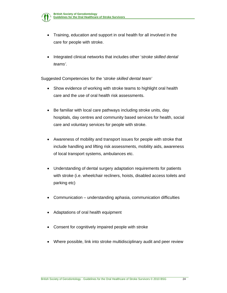

- Training, education and support in oral health for all involved in the care for people with stroke.
- Integrated clinical networks that includes other '*stroke skilled dental teams'*.

Suggested Competencies for the '*stroke skilled dental team'*

- Show evidence of working with stroke teams to highlight oral health care and the use of oral health risk assessments.
- Be familiar with local care pathways including stroke units, day hospitals, day centres and community based services for health, social care and voluntary services for people with stroke.
- Awareness of mobility and transport issues for people with stroke that include handling and lifting risk assessments, mobility aids, awareness of local transport systems, ambulances etc.
- Understanding of dental surgery adaptation requirements for patients with stroke (i.e. wheelchair recliners, hoists, disabled access toilets and parking etc)
- Communication understanding aphasia, communication difficulties
- Adaptations of oral health equipment
- Consent for cognitively impaired people with stroke
- Where possible, link into stroke multidisciplinary audit and peer review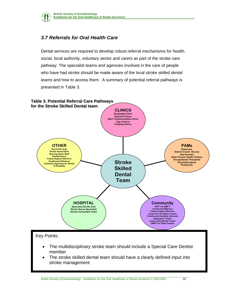# <span id="page-26-0"></span>*3.7 Referrals for Oral Health Care*

Dental services are required to develop robust referral mechanisms for health, social, local authority, voluntary sector and carers as part of the stroke care pathway. The specialist teams and agencies involved in the care of people who have had stroke should be made aware of the local *stroke skilled dental teams* and how to access them. A summary of potential referral pathways is presented in Table 3.

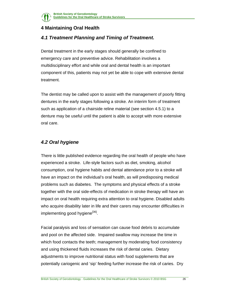<span id="page-27-0"></span>

# **4 Maintaining Oral Health**

# *4.1 Treatment Planning and Timing of Treatment.*

Dental treatment in the early stages should generally be confined to emergency care and preventive advice. Rehabilitation involves a multidisciplinary effort and while oral and dental health is an important component of this, patients may not yet be able to cope with extensive dental treatment.

The dentist may be called upon to assist with the management of poorly fitting dentures in the early stages following a stroke. An interim form of treatment such as application of a chairside reline material [\(see section 4.5.1](#page-35-0)) to a denture may be useful until the patient is able to accept with more extensive oral care.

# *4.2 Oral hygiene*

There is little published evidence regarding the oral health of people who have experienced a stroke. Life-style factors such as diet, smoking, alcohol consumption, oral hygiene habits and dental attendance prior to a stroke will have an impact on the individual's oral health, as will predisposing medical problems such as diabetes. The symptoms and physical effects of a stroke together with the oral side-effects of medication in stroke therapy will have an impact on oral health requiring extra attention to oral hygiene. Disabled adults who acquire disability later in life and their carers may encounter difficulties in implementing good hygiene<sup>[36]</sup>.

Facial paralysis and loss of sensation can cause food debris to accumulate and pool on the affected side. Impaired swallow may increase the time in which food contacts the teeth; management by moderating food consistency and using thickened fluids increases the risk of dental caries. Dietary adjustments to improve nutritional status with food supplements that are potentially cariogenic and 'sip' feeding further increase the risk of caries. Dry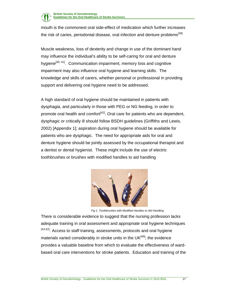

mouth is the commonest oral side-effect of medication which further increases the risk of caries, periodontal disease, oral infection and denture problems<sup>[39]</sup>

Muscle weakness, loss of dexterity and change in use of the dominant hand may influence the individual's ability to be self-caring for oral and denture hygiene<sup>[40, 41]</sup>. Communication impairment, memory loss and cognitive impairment may also influence oral hygiene and learning skills. The knowledge and skills of carers, whether personal or professional in providing support and delivering oral hygiene need to be addressed.

A high standard of oral hygiene should be maintained in patients with dysphagia, and particularly in those with PEG or NG feeding, in order to promote oral health and comfort<sup>[42]</sup>. Oral care for patients who are dependent, dysphagic or critically ill should follow BSDH guidelines (Griffiths and Lewis, 2002) [\[Appendix 1\];](#page-51-0) aspiration during oral hygiene should be available for patients who are dysphagic. The need for appropriate aids for oral and denture hygiene should be jointly assessed by the occupational therapist and a dentist or dental hygienist. These might include the use of electric toothbrushes or brushes with modified handles to aid handling



*Fig 1. Toothbrushes with Modified Handles to Aid Handling* 

There is considerable evidence to suggest that the nursing profession lacks adequate training in oral assessment and appropriate oral hygiene techniques <sup>[43-52]</sup>. Access to staff training, assessments, protocols and oral hygiene materials varied considerably in stroke units in the  $UK<sup>[46]</sup>$ ; the evidence provides a valuable baseline from which to evaluate the effectiveness of wardbased oral care interventions for stroke patients. Education and training of the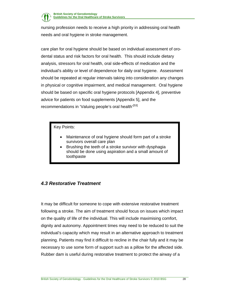

nursing profession needs to receive a high priority in addressing oral health needs and oral hygiene in stroke management.

care plan for oral hygiene should be based on individual assessment of orodental status and risk factors for oral health. This should include dietary analysis, stressors for oral health, oral side-effects of medication and the individual's ability or level of dependence for daily oral hygiene. Assessment should be repeated at regular intervals taking into consideration any changes in physical or cognitive impairment, and medical management. Oral hygiene should be based on specific oral hygiene protocols [\[Appendix 4\],](#page-54-0) preventive advice for patients on food supplements [\[Appendix 5\],](#page-57-0) and the recommendations in 'Valuing people's oral health'<sup>[53]</sup>

Key Points:

- Maintenance of oral hygiene should form part of a stroke survivors overall care plan
- Brushing the teeth of a stroke survivor with dysphagia should be done using aspiration and a small amount of toothpaste

## *4.3 Restorative Treatment*

It may be difficult for someone to cope with extensive restorative treatment following a stroke. The aim of treatment should focus on issues which impact on the quality of life of the individual. This will include maximising comfort, dignity and autonomy. Appointment times may need to be reduced to suit the individual's capacity which may result in an alternative approach to treatment planning. Patients may find it difficult to recline in the chair fully and it may be necessary to use some form of support such as a pillow for the affected side. Rubber dam is useful during restorative treatment to protect the airway of a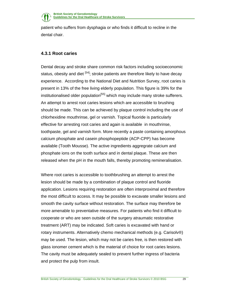<span id="page-30-0"></span>

patient who suffers from dysphagia or who finds it difficult to recline in the dental chair.

#### **4.3.1 Root caries**

Dental decay and stroke share common risk factors including socioeconomic status, obesity and diet  $[54]$ ; stroke patients are therefore likely to have decay experience. According to the National Diet and Nutrition Survey, root caries is present in 13% of the free living elderly population. This figure is 39% for the institutionalised older population<sup>[55]</sup> which may include many stroke sufferers. An attempt to arrest root caries lesions which are accessible to brushing should be made. This can be achieved by plaque control including the use of chlorhexidine mouthrinse, gel or varnish. Topical fluoride is particularly effective for arresting root caries and again is available in mouthrinse, toothpaste, gel and varnish form. More recently a paste containing amorphous calcium phosphate and casein phosphopeptide (ACP-CPP) has become available (Tooth Mousse). The active ingredients aggregrate calcium and phosphate ions on the tooth surface and in dental plaque. These are then released when the pH in the mouth falls, thereby promoting remineralisation.

Where root caries is accessible to toothbrushing an attempt to arrest the lesion should be made by a combination of plaque control and fluoride application. Lesions requiring restoration are often interproximal and therefore the most difficult to access. It may be possible to excavate smaller lesions and smooth the cavity surface without restoration. The surface may therefore be more amenable to preventative measures. For patients who find it difficult to cooperate or who are seen outside of the surgery atraumatic restorative treatment (ART) may be indicated. Soft caries is excavated with hand or rotary instruments. Alternatively chemo mechanical methods (e.g. Carisolv®) may be used. The lesion, which may not be caries free, is then restored with glass ionomer cement which is the material of choice for root caries lesions. The cavity must be adequately sealed to prevent further ingress of bacteria and protect the pulp from insult.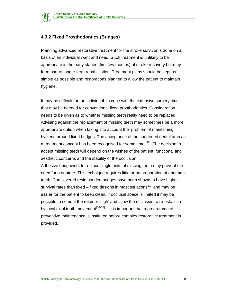## <span id="page-31-0"></span>**4.3.2 Fixed Prosthodontics (Bridges)**

Planning advanced restorative treatment for the stroke survivor is done on a basis of an individual want and need. Such treatment is unlikely to be appropriate in the early stages (first few months) of stroke recovery but may form part of longer term rehabilitation. Treatment plans should be kept as simple as possible and restorations planned to allow the patient to maintain hygiene.

It may be difficult for the individual to cope with the extensive surgery time that may be needed for conventional fixed prosthodontics. Consideration needs to be given as to whether missing teeth really need to be replaced. Advising against the replacement of missing teeth may sometimes be a more appropriate option when taking into account the problem of maintaining hygiene around fixed bridges. The acceptance of the shortened dental arch as a treatment concept has been recognised for some tim[e \[56\].](#page-47-0) The decision to accept missing teeth will depend on the wishes of the patient, functional and aesthetic concerns and the stability of the occlusion.

Adhesive bridgework to replace single units of missing teeth may prevent the need for a denture. This technique requires little or no preparation of abutment teeth. Cantilevered resin bonded bridges have been shown to have higher survival rates than fixed – fixed designs in most situations<sup>[57]</sup> and may be easier for the patient to keep clean. If occlusal space is limited it may be possible to cement the retainer 'high' and allow the occlusion to re-establish by local axial tooth movement<sup>[58-60]</sup>. It is important that a programme of preventive maintenance is instituted before complex restorative treatment is provided.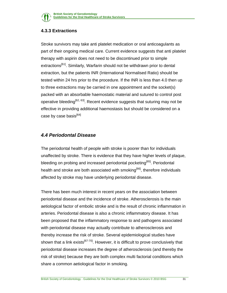## <span id="page-32-0"></span>**4.3.3 Extractions**

Stroke survivors may take anti platelet medication or oral anticoagulants as part of their ongoing medical care. Current evidence suggests that anti platelet therapy with aspirin does not need to be discontinued prior to simple extractions<sup>[61]</sup>. Similarly, Warfarin should not be withdrawn prior to dental extraction, but the patients INR (International Normalised Ratio) should be tested within 24 hrs prior to the procedure. If the INR is less than 4.0 then up to three extractions may be carried in one appointment and the socket(s) packed with an absorbable haemostatic material and sutured to control post operative bleeding<sup>[62, 63]</sup>. Recent evidence suggests that suturing may not be effective in providing additional haemostasis but should be considered on a case by case basis<sup>[\[64\]](#page-48-0)</sup>

## *4.4 Periodontal Disease*

The periodontal health of people with stroke is poorer than for individuals unaffected by stroke. There is evidence that they have higher levels of plaque, bleeding on probing and increased periodontal pocketing<sup>[65]</sup>. Periodontal health and stroke are both associated with smoking<sup>[66]</sup>, therefore individuals affected by stroke may have underlying periodontal disease.

There has been much interest in recent years on the association between periodontal disease and the incidence of stroke. Atherosclerosis is the main aetiological factor of embolic stroke and is the result of chronic inflammation in arteries. Periodontal disease is also a chronic inflammatory disease. It has been proposed that the inflammatory response to and pathogens associated with periodontal disease may actually contribute to atherosclerosis and thereby increase the risk of stroke. Several epidemiological studies have shown that a link exists $[67-70]$ . However, it is difficult to prove conclusively that periodontal disease increases the degree of atherosclerosis (and thereby the risk of stroke) because they are both complex multi factorial conditions which share a common aetiological factor in smoking.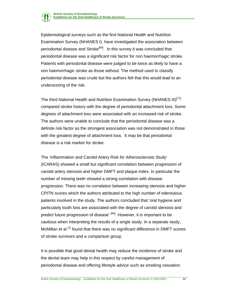

Epidemiological surveys such as the first National Health and Nutrition Examination Survey (NHANES I). have investigated the association between periodontal disease and Stroke<sup>[69]</sup>. In this survey it was concluded that periodontal disease was a significant risk factor for non haemorrhagic stroke. Patients with periodontal disease were judged to be twice as likely to have a non haemorrhagic stroke as those without. The method used to classify periodontal disease was crude but the authors felt that this would lead to an underscoring of the risk.

The third National Health and Nutrition Examination Survey (NHANES III)<sup>[71]</sup> compared stroke history with the degree of periodontal attachment loss. Some degrees of attachment loss were associated with an increased risk of stroke. The authors were unable to conclude that the periodontal disease was a definite risk factor as the strongest association was not demonstrated in those with the greatest degree of attachment loss. It may be that periodontal disease is a risk marker for stroke.

The 'Inflammation and Carotid Artery Risk for Atherosclerosis Study' (ICARAS) showed a small but significant correlation between progression of carotid artery stenosis and higher DMFT and plaque index. In particular the number of missing teeth showed a strong correlation with disease progression. There was no correlation between increasing stenosis and higher CPITN scores which the authors attributed to the high number of edentulous patients involved in the study. The authors concluded that 'oral hygiene and particularly tooth loss are associated with the degree of carotid stenosis and predict future progression of disease<sup>' [68]</sup>. However, it is important to be cautious when interpreting the results of a single study. In a separate study, McMillan et al  $^{[7]}$  found that there was no significant difference in DMFT scores of stroke survivors and a comparison group.

It is possible that good dental health may reduce the incidence of stroke and the dental team may help in this respect by careful management of periodontal disease and offering lifestyle advice such as smoking cessation.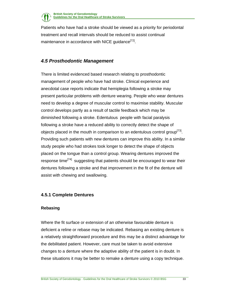<span id="page-34-0"></span>

Patients who have had a stroke should be viewed as a priority for periodontal treatment and recall intervals should be reduced to assist continual maintenance in accordance with NICE guidance $^{[72]}$ .

# *4.5 Prosthodontic Management*

There is limited evidenced based research relating to prosthodontic management of people who have had stroke. Clinical experience and anecdotal case reports indicate that hemiplegia following a stroke may present particular problems with denture wearing. People who wear dentures need to develop a degree of muscular control to maximise stability. Muscular control develops partly as a result of tactile feedback which may be diminished following a stroke. Edentulous people with facial paralysis following a stroke have a reduced ability to correctly detect the shape of objects placed in the mouth in comparison to an edentulous control group<sup>[73]</sup>. Providing such patients with new dentures can improve this ability. In a similar study people who had strokes took longer to detect the shape of objects placed on the tongue than a control group. Wearing dentures improved the response time<sup>[74]</sup> suggesting that patients should be encouraged to wear their dentures following a stroke and that improvement in the fit of the denture will assist with chewing and swallowing.

## **4.5.1 Complete Dentures**

#### **Rebasing**

Where the fit surface or extension of an otherwise favourable denture is deficient a reline or rebase may be indicated. Rebasing an existing denture is a relatively straightforward procedure and this may be a distinct advantage for the debilitated patient. However, care must be taken to avoid extensive changes to a denture where the adaptive ability of the patient is in doubt. In these situations it may be better to remake a denture using a copy technique.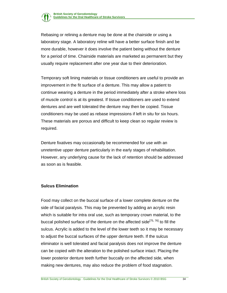<span id="page-35-0"></span>

Rebasing or relining a denture may be done at the chairside or using a laboratory stage. A laboratory reline will have a better surface finish and be more durable, however it does involve the patient being without the denture for a period of time. Chairside materials are marketed as permanent but they usually require replacement after one year due to their deterioration.

Temporary soft lining materials or tissue conditioners are useful to provide an improvement in the fit surface of a denture. This may allow a patient to continue wearing a denture in the period immediately after a stroke where loss of muscle control is at its greatest. If tissue conditioners are used to extend dentures and are well tolerated the denture may then be copied. Tissue conditioners may be used as rebase impressions if left in situ for six hours. These materials are porous and difficult to keep clean so regular review is required.

Denture fixatives may occasionally be recommended for use with an unretentive upper denture particularly in the early stages of rehabilitation. However, any underlying cause for the lack of retention should be addressed as soon as is feasible.

#### **Sulcus Elimination**

Food may collect on the buccal surface of a lower complete denture on the side of facial paralysis. This may be prevented by adding an acrylic resin which is suitable for intra oral use, such as temporary crown material, to the buccal polished surface of the denture on the affected side<sup>[75, 76]</sup> to fill the sulcus. Acrylic is added to the level of the lower teeth so it may be necessary to adjust the buccal surfaces of the upper denture teeth. If the sulcus eliminator is well tolerated and facial paralysis does not improve the denture can be copied with the alteration to the polished surface intact. Placing the lower posterior denture teeth further buccally on the affected side, when making new dentures, may also reduce the problem of food stagnation.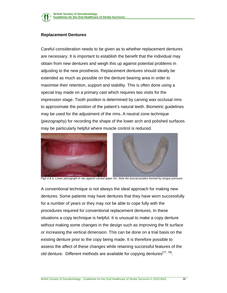

#### **Replacement Dentures**

Careful consideration needs to be given as to whether replacement dentures are necessary. It is important to establish the benefit that the individual may obtain from new dentures and weigh this up against potential problems in adjusting to the new prosthesis. Replacement dentures should ideally be extended as much as possible on the denture bearing area in order to maximise their retention, support and stability. This is often done using a special tray made on a primary cast which requires two visits for the impression stage. Tooth position is determined by carving wax occlusal rims to approximate the position of the patient's natural teeth. Biometric guidelines may be used for the adjustment of the rims. A neutral zone technique (piezography) for recording the shape of the lower arch and polished surfaces may be particularly helpful where muscle control is reduced.



*Fig2 a & b. Lower piezograph in situ against carved upper rim. Note the buccal position formed by tongue pressure* 

A conventional technique is not always the ideal approach for making new dentures. Some patients may have dentures that they have worn successfully for a number of years or they may not be able to cope fully with the procedures required for conventional replacement dentures. In these situations a copy technique is helpful. It is unusual to make a copy denture without making some changes in the design such as improving the fit surface or increasing the vertical dimension. This can be done on a trial basis on the existing denture prior to the copy being made. It is therefore possible to assess the affect of these changes while retaining successful features of the old denture. Different methods are available for copying dentures<sup>[77, 78]</sup>.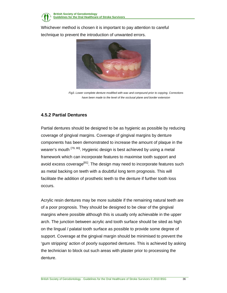<span id="page-37-0"></span>

Whichever method is chosen it is important to pay attention to careful technique to prevent the introduction of unwanted errors.



*Fig3. Lower complete denture modified with wax and compound prior to copying. Corrections have been made to the level of the occlusal plane and border extension* 

#### **4.5.2 Partial Dentures**

Partial dentures should be designed to be as hygienic as possible by reducing coverage of gingival margins. Coverage of gingival margins by denture components has been demonstrated to increase the amount of plaque in the wearer's mouth <sup>[79, 80]</sup>. Hygienic design is best achieved by using a metal framework which can incorporate features to maximise tooth support and avoid excess coverage<sup>[81]</sup>. The design may need to incorporate features such as metal backing on teeth with a doubtful long term prognosis. This will facilitate the addition of prosthetic teeth to the denture if further tooth loss occurs.

Acrylic resin dentures may be more suitable if the remaining natural teeth are of a poor prognosis. They should be designed to be clear of the gingival margins where possible although this is usually only achievable in the upper arch. The junction between acrylic and tooth surface should be sited as high on the lingual / palatal tooth surface as possible to provide some degree of support. Coverage at the gingival margin should be minimised to prevent the 'gum stripping' action of poorly supported dentures. This is achieved by asking the technician to block out such areas with plaster prior to processing the denture.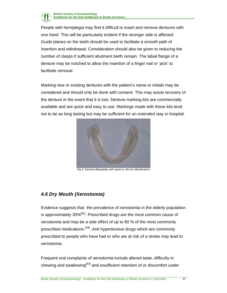

People with hemiplegia may find it difficult to insert and remove dentures with one hand. This will be particularly evident if the stronger side is affected. Guide planes on the teeth should be used to facilitate a smooth path of insertion and withdrawal. Consideration should also be given to reducing the number of clasps if sufficient abutment teeth remain. The labial flange of a denture may be notched to allow the insertion of a finger nail or 'pick' to facilitate removal.

Marking new or existing dentures with the patient's name or initials may be considered and should only be done with consent. This may assist recovery of the denture in the event that it is lost. Denture marking kits are commercially available and are quick and easy to use. Markings made with these kits tend not to be as long lasting but may be sufficient for an extended stay in hospital.



*Fig 4. Denture Baseplate with name in situ for identification* 

# *4.6 Dry Mouth (Xerostomia)*

Evidence suggests that the prevalence of xerostomia in the elderly population is approximately  $30\%^{[82]}$ . Prescribed drugs are the most common cause of xerostomia and may be a side effect of up to 80 % of the most commonly prescribed medications <sup>[39]</sup>. Anti hypertensive drugs which are commonly prescribed to people who have had or who are at risk of a stroke may lead to xerostomia.

Frequent oral complaints of xerostomia include altered taste, difficulty in chewing and swallowing<sup>[83]</sup> and insufficient retention of or discomfort under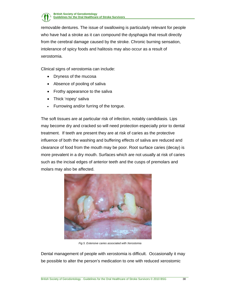<span id="page-39-0"></span>

removable dentures. The issue of swallowing is particularly relevant for people who have had a stroke as it can compound the dysphagia that result directly from the cerebral damage caused by the stroke. Chronic burning sensation, intolerance of spicy foods and halitosis may also occur as a result of xerostomia.

Clinical signs of xerostomia can include:

- Dryness of the mucosa
- Absence of pooling of saliva
- Frothy appearance to the saliva
- Thick 'ropey' saliva
- Furrowing and/or furring of the tongue.

The soft tissues are at particular risk of infection, notably candidiasis. Lips may become dry and cracked so will need protection especially prior to dental treatment. If teeth are present they are at risk of caries as the protective influence of both the washing and buffering effects of saliva are reduced and clearance of food from the mouth may be poor. Root surface caries (decay) is more prevalent in a dry mouth. Surfaces which are not usually at risk of caries such as the incisal edges of anterior teeth and the cusps of premolars and molars may also be affected.



*Fig 5. Extensive caries associated with Xerostomia*

Dental management of people with xerostomia is difficult. Occasionally it may be possible to alter the person's medication to one with reduced xerostomic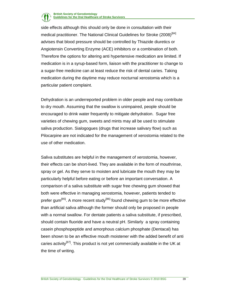

side effects although this should only be done in consultation with their medical practitioner. The National Clinical Guidelines for Stroke (2008)<sup>[\[84\]](#page-49-0)</sup> advises that blood pressure should be controlled by Thiazide diuretics or Angiotensin Converting Enzyme (ACE) inhibitors or a combination of both. Therefore the options for altering anti hypertensive medication are limited. If medication is in a syrup-based form, liaison with the practitioner to change to a sugar-free medicine can at least reduce the risk of dental caries. Taking medication during the daytime may reduce nocturnal xerostomia which is a particular patient complaint.

Dehydration is an underreported problem in older people and may contribute to dry mouth. Assuming that the swallow is unimpaired, people should be encouraged to drink water frequently to mitigate dehydration. Sugar free varieties of chewing gum, sweets and mints may all be used to stimulate saliva production. Sialogogues (drugs that increase salivary flow) such as Pilocarpine are not indicated for the management of xerostomia related to the use of other medication.

Saliva substitutes are helpful in the management of xerostomia, however, their effects can be short-lived. They are available in the form of mouthrinse, spray or gel. As they serve to moisten and lubricate the mouth they may be particularly helpful before eating or before an important conversation. A comparison of a saliva substitute with sugar free chewing gum showed that both were effective in managing xerostomia, however, patients tended to prefer gum<sup>[85]</sup>. A more recent study<sup>[86]</sup> found chewing gum to be more effective than artificial saliva although the former should only be proposed in people with a normal swallow. For dentate patients a saliva substitute, if prescribed, should contain fluoride and have a neutral pH. Similarly a spray containing casein phosphopeptide and amorphous calcium phosphate (Dentacal) has been shown to be an effective mouth moistener with the added benefit of anti caries activity<sup>[87]</sup>. This product is not yet commercially available in the UK at the time of writing.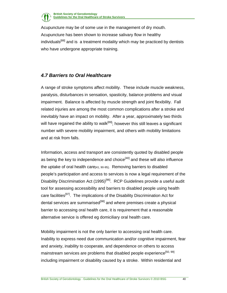<span id="page-41-0"></span>

Acupuncture may be of some use in the management of dry mouth. Acupuncture has been shown to increase salivary flow in healthy individuals<sup>[88]</sup> and is a treatment modality which may be practiced by dentists who have undergone appropriate training.

## *4.7 Barriers to Oral Healthcare*

A range of stroke symptoms affect mobility. These include muscle weakness, paralysis, disturbances in sensation, spasticity, balance problems and visual impairment. Balance is affected by muscle strength and joint flexibility. Fall related injuries are among the most common complications after a stroke and inevitably have an impact on mobility. After a year, approximately two thirds will have regained the ability to walk<sup>[89]</sup>; however this still leaves a significant number with severe mobility impairment, and others with mobility limitations and at risk from falls.

Information, access and transport are consistently quoted by disabled people as being the key to independence and choice $[40]$  and these will also influence the uptake of oral health care[\[41,](#page-46-0) [90-95\]](#page-50-0). Removing barriers to disabled people's participation and access to services is now a legal requirement of the Disability Discrimination Act (1995)<sup>[96]</sup>. RCP Guidelines provide a useful audit tool for assessing accessibility and barriers to disabled people using health care facilities<sup>[97]</sup>. The implications of the Disability Discrimination Act for dental services are summarised<sup>[98]</sup> and where premises create a physical barrier to accessing oral health care, it is requirement that a reasonable alternative service is offered eg domiciliary oral health care.

Mobility impairment is not the only barrier to accessing oral health care. Inability to express need due communication and/or cognitive impairment, fear and anxiety, inability to cooperate, and dependence on others to access mainstream services are problems that disabled people experience<sup>[\[50,](#page-47-0) [99\]](#page-50-0)</sup> including impairment or disability caused by a stroke. Within residential and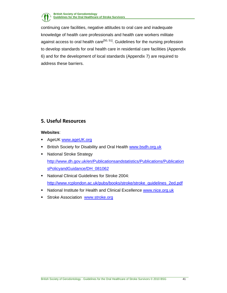<span id="page-42-0"></span>

continuing care facilities, negative attitudes to oral care and inadequate knowledge of health care professionals and health care workers militate against access to oral health care<sup>[50, 51]</sup>. Guidelines for the nursing profession to develop standards for oral health care in residential care facilities (Appendix 6) and for the development of local standards (Appendix 7) are required to address these barriers.

# **5. Useful Resources**

#### **Websites**:

- **AgeUK www.ageUK.org**
- **British Society for Disability and Oral Health www.bsdh.org.uk**
- National Stroke Strategy http://www.dh.gov.uk/en/Publicationsandstatistics/Publications/Publication sPolicyandGuidance/DH\_081062
- **National Clinical Guidelines for Stroke 2004:** http://www.rcplondon.ac.uk/pubs/books/stroke/stroke\_guidelines\_2ed.pdf
- National Institute for Health and Clinical Excellence www.nice.org.uk
- Stroke Association www.stroke.org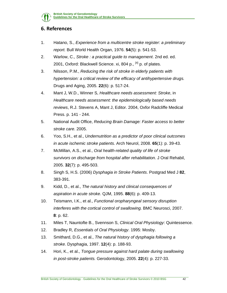<span id="page-43-0"></span>

# **6. References**

- 1. Hatano, S., *[Experience from a multicentre stroke register: a preliminary](http://www.ncbi.nlm.nih.gov/pubmed/1088404?dopt=Citation)  report.* Bull World Health Organ, 1976. **54**(5): p. 541-53.
- 2. Warlow, C., *Stroke : a practical guide to management*. 2nd ed. ed. [2001, Oxford: Blackwell Science. xi, 804 p.,](http://www.amazon.co.uk/Stroke-Practical-Management-Charles-Warlow/dp/0632054182)  $^{[4]}$  p. of plates.
- 3. Nilsson, P.M., *Reducing the risk of stroke in elderly patients with [hypertension: a critical review of the efficacy of antihypertensive drugs.](http://www.ncbi.nlm.nih.gov/sites/pubmed)* Drugs and Aging, 2005. **22**(6): p. 517-24.
- 4. Mant J, W.D., Winner S, *Healthcare needs assessment: Stroke*, in *[Healthcare needs assessment: the epidemiologically based needs](http://www.amazon.co.uk/Health-Care-Needs-Assessment-Epidemiologically/dp/1846190630)  reviews*, R.J. Stevens A, Mant J, Editor. 2004, Oxfor Radcliffe Medical Press. p. 141 - 244.
- 5. National Audit Office, *[Reducing Brain Damage: Faster access to better](http://www.nao.org.uk/publications/0506/reducing_brain_damage.aspx)  stroke care*. 2005.
- 6. Yoo, S.H., et al., *[Undernutrition as a predictor of poor clinical outcomes](http://www.ncbi.nlm.nih.gov/pubmed/18195138?dopt=Citation)  in acute ischemic stroke patients.* Arch Neurol, 2008. **65**(1): p. 39-43.
- 7. McMillan, A.S., et al., *Oral health-related quality of life of stroke [survivors on discharge from hospital after rehabilitation.](http://www.ncbi.nlm.nih.gov/pubmed/15975129?dopt=Citation)* J Oral Rehabil, 2005. **32**(7): p. 495-503.
- 8. Singh S, H.S. (2006) *[Dysphagia in Stroke Patients](http://www.ncbi.nlm.nih.gov/pubmed/16754707)*. Postgrad Med J **82**, 383-391.
- 9. Kidd, D., et al., *[The natural history and clinical consequences of](http://www.ncbi.nlm.nih.gov/pubmed/7648232?dopt=Citation)  aspiration in acute stroke.* QJM, 1995. **88**(6): p. 409-13.
- 10. Teismann, I.K., et al., *Functional oropharyngeal sensory disruption [interferes with the cortical control of swallowing.](http://www.ncbi.nlm.nih.gov/pubmed/17678546?dopt=Citation)* BMC Neurosci, 2007. **8**: p. 62.
- 11. Miles T, [Nauntofte B., Svennson S,](http://www.amazon.co.uk/Clinical-Oral-Physiology-Birgitte-Nauntofte/dp/1850970912/) *Clinical Oral Physiology*: Quintessence.
- 12. Bradley R, *[Essentials of Oral Physiology](http://www.amazon.co.uk/Essentials-Oral-Physiology-R-M-Bradley/dp/1556640889)*. 1995: Mosby.
- 13. Smithard, D.G., et al., *[The natural history of dysphagia following a](http://www.ncbi.nlm.nih.gov/pubmed/9294937?dopt=Citation)  stroke.* Dysphagia, 1997. **12**(4): p. 188-93.
- 14. Hori, K., et al., *[Tongue pressure against hard palate during swallowing](http://www.ncbi.nlm.nih.gov/pubmed/16329231?dopt=Citation)  in post-stroke patients.* Gerodontology, 2005. **22**(4): p. 227-33.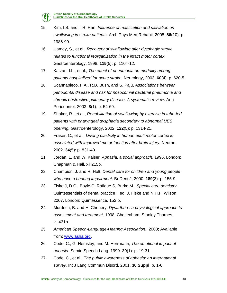<span id="page-44-0"></span>

- 15. Kim, I.S. and T.R. Han, *[Influence of mastication and salivation on](http://www.ncbi.nlm.nih.gov/pubmed/16213243?dopt=Citation)  swallowing in stroke patients.* Arch Phys Med Rehabil, 2005. **86**(10): p. 1986-90.
- 16. Hamdy, S., et al., *Recovery of swallowing after dysphagic stroke [relates to functional reorganization in the intact motor cortex.](http://www.ncbi.nlm.nih.gov/pubmed/9797365?dopt=Citation)* Gastroenterology, 1998. **115**(5): p. 1104-12.
- 17. Katzan, I.L., et al., *[The effect of pneumonia on mortality among](http://www.ncbi.nlm.nih.gov/pubmed/12601102?dopt=Citation)  patients hospitalized for acute stroke.* Neurology, 2003. **60**(4): p. 620-5.
- 18. Scannapieco, F.A., R.B. Bush, and S. Paju, *Associations between [periodontal disease and risk for nosocomial bacterial pneumonia and](http://www.ncbi.nlm.nih.gov/pubmed/14971248?dopt=Citation)  chronic obstructive pulmonary disease. A systematic review.* Ann Periodontol, 2003. **8**(1): p. 54-69.
- 19. Shaker, R., et al., *Rehabilitation of swallowing by exercise in tube-fed [patients with pharyngeal dysphagia secondary to abnormal UES](http://www.ncbi.nlm.nih.gov/pubmed/11984518?dopt=Citation)  opening.* Gastroenterology, 2002. **122**(5): p. 1314-21.
- 20. Fraser, C., et al., *Driving plasticity in human adult motor cortex is [associated with improved motor function after brain injury.](http://www.ncbi.nlm.nih.gov/pubmed/12062028?dopt=Citation)* Neuron, 2002. **34**(5): p. 831-40.
- [21. Jordan, L. and W. Kaiser,](http://www.amazon.co.uk/Aphasia-Social-Approach-Lesley-Jordan/dp/1565931971) *Aphasia, a social approach*. 1996, London: Chapman & Hall. xii,215p.
- 22. Champion, J. and R. Holt, *[Dental care for children and young people](http://www.ncbi.nlm.nih.gov/pubmed/11021033?dopt=Citation)  who have a hearing impairment.* Br Dent J, 2000. **189**(3): p. 155-9.
- 23. Fiske J, D.C., Boyle C, Rafique S, Burke M., *Special care dentistry*. [Quintessentials of dental practice ;, ed. J. Fiske and N.H.F. Wilson.](http://www.amazon.co.uk/Special-Dentistry-Quintessentials-Dental-Practice/dp/185097134X/)  2007, London: Quintessence. 152 p.
- 24. Murdoch, B. and H. Chenery, *[Dysarthria : a physiological approach to](http://www.amazon.co.uk/Dysarthria-Physiological-Approach-Assessment-Treatment/dp/0748733116)  assessment and treatment*. 1998, Cheltenham: Stanley Thornes. vii,431p.
- 25. *[American Speech-Language-Hearing Association](http://www.asha.org/research/)*. 2008; Available from: www.asha.org.
- [26. Code, C., G. Hemsley, and M. Herrmann,](http://www.ncbi.nlm.nih.gov/pubmed/10100374?dopt=Citation) *The emotional impact of aphasia.* Semin Speech Lang, 1999. **20**(1): p. 19-31.
- 27. Code, C., et al., *[The public awareness of aphasia: an international](http://www.ncbi.nlm.nih.gov/pubmed/11340762?dopt=Citation)  survey.* Int J Lang Commun Disord, 2001. **36 Suppl**: p. 1-6.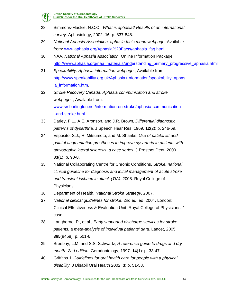<span id="page-45-0"></span>

- 28. Simmons-Mackie, N.C.C., *[What is aphasia? Results of an international](http://www.informaworld.com/smpp/content~db=all~content=a729254524~tab=citations)  survey.* Aphasiology, 2002. **16**: p. 837-848.
- 29. *National Aphasia Association. aphasia facts menu webpage*. Available [from: www.aphasia.org/Aphasia%20Facts/aphasia\\_faq.html.](http://www.aphasia.org/Aphasia%20Facts/aphasia_faq.html)
- 30. NAA, *National Aphasia Association*. Online Information Package [http://www.aphasia.org/naa\\_materials/understanding\\_primary\\_progressive\\_apha](http://www.aphasia.org/naa_materials/understanding_primary_progressive_aphasia.html)sia.html
- 31. *Speakability. Aphasia information webpage.*; Available from: [http://www.speakability.org.uk/Aphasia+Information/speakability\\_aphas](http://www.speakability.org.uk/Aphasia+Information/speakability_aphasia_information) ia\_information.htm.
- 32. *Stroke Recovery Canada, Aphasia communication and stroke webpage*. ; Available from: [www.srcburlington.net/information-on-stroke/aphasia-communication](http://www.srcburlington.net/information-on-stroke/aphasia-communication-and-stroke.html) -and-stroke.html
- [33. Darley, F.L., A.E. Aronson, and J.R. Brown,](http://www.ncbi.nlm.nih.gov/pubmed/5808852?dopt=Citation) *Differential diagnostic patterns of dysarthria.* J Speech Hear Res, 1969. **12**(2): p. 246-69.
- 34. Esposito, S.J., H. Mitsumoto, and M. Shanks, *Use of palatal lift and [palatal augmentation prostheses to improve dysarthria in patients with](http://www.ncbi.nlm.nih.gov/pubmed/10633027?dopt=Citation)  amyotrophic lateral sclerosis: a case series.* J Prosthet Dent, 2000. **83**(1): p. 90-8.
- 35. National Collaborating Centre for Chronic Conditions, *Stroke: national [clinical guideline for diagnosis and initial management of acute stroke](http://www.nice.org.uk/nicemedia/pdf/CG68NICEGuideline.pdf)  and transient ischaemic attack (TIA)*. 2008: Royal College of Physicians.
- [36. Department of Health,](http://www.dh.gov.uk/en/Publicationsandstatistics/Publications/PublicationsPolicyandguidance/dh_081062) *National Stroke Strategy*. 2007.
- 37. *National clinical guidelines for stroke*. 2nd ed. ed. 2004, London: [Clinical Effectiveness & Evaluation Unit, Royal College of Physicians. 1](http://www.rcplondon.ac.uk/pubs/books/stroke/stroke_guidelines_2ed.pdf)  case.
- 38. Langhorne, P., et al., *Early supported discharge services for stroke [patients: a meta-analysis of individual patients' data.](http://www.ncbi.nlm.nih.gov/pubmed/15705460?dopt=Citation)* Lancet, 2005. **365**(9458): p. 501-6.
- [39. Sreebny, L.M. and S.S. Schwartz,](http://www.ncbi.nlm.nih.gov/pubmed/3466859?dopt=Citation) *A reference guide to drugs and dry mouth--2nd edition.* Gerodontology, 1997. **14**(1): p. 33-47.
- 40. Griffiths J, *[Guidelines for oral health care for people with a physical](http://www.bsdh.org.uk/journal/volume3_2.php)  disability.* J Disabil Oral Health 2002. **3**: p. 51-58.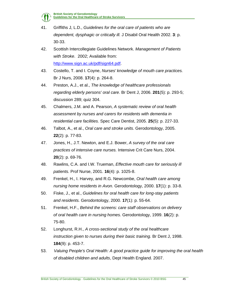<span id="page-46-0"></span>

- 41. Griffiths J, L.D., *[Guidelines for the oral care of patients who are](http://www.bsdh.org.uk/journal/volume3_1.php)  dependent, dysphagic or critically ill.* J Disabil Oral Health 2002. **3**: p. 30-33.
- [42. Scottish Intercollegiate Guidelines Network.](http://www.sign.ac.uk/pdf/sign64.pdf) *Management of Patients with Stroke*. 2002; Available from: http://www.sign.ac.uk/pdf/sign64.pdf.
- 43. Costello, T. and I. Coyne, *[Nurses' knowledge of mouth care practices.](http://www.ncbi.nlm.nih.gov/pubmed/18414273?dopt=Citation)* Br J Nurs, 2008. **17**(4): p. 264-8.
- 44. Preston, A.J., et al., *[The knowledge of healthcare professionals](http://www.ncbi.nlm.nih.gov/pubmed/16960615?dopt=Citation)  regarding elderly persons' oral care.* Br Dent J, 2006. **201**(5): p. 293-5; discussion 289; quiz 304.
- 45. Chalmers, J.M. and A. Pearson, *A systematic review of oral health [assessment by nurses and carers for residents with dementia in](http://www.ncbi.nlm.nih.gov/pubmed/16454098?dopt=Citation)  residential care facilities.* Spec Care Dentist, 2005. **25**(5): p. 227-33.
- 46. Talbot, A., et al., *[Oral care and stroke units.](http://www.ncbi.nlm.nih.gov/pubmed/15934348?dopt=Citation)* Gerodontology, 2005. **22**(2): p. 77-83.
- [47. Jones, H., J.T. Newton, and E.J. Bower,](http://www.ncbi.nlm.nih.gov/pubmed/15072774?dopt=Citation) *A survey of the oral care practices of intensive care nurses.* Intensive Crit Care Nurs, 2004. **20**(2): p. 69-76.
- [48. Rawlins, C.A. and I.W. Trueman,](http://www.ncbi.nlm.nih.gov/pubmed/12029728?dopt=Citation) *Effective mouth care for seriously ill patients.* Prof Nurse, 2001. **16**(4): p. 1025-8.
- [49. Frenkel, H., I. Harvey, and R.G. Newcombe,](http://www.ncbi.nlm.nih.gov/pubmed/11203511?dopt=Citation) *Oral health care among nursing home residents in Avon.* Gerodontology, 2000. **17**(1): p. 33-8.
- 50. Fiske, J., et al., *[Guidelines for oral health care for long-stay patients](http://www.ncbi.nlm.nih.gov/pubmed/11203515?dopt=Citation)  and residents.* Gerodontology, 2000. **17**(1): p. 55-64.
- 51. Frenkel, H.F., *[Behind the screens: care staff observations on delivery](http://www.ncbi.nlm.nih.gov/pubmed/10825845?dopt=Citation)  of oral health care in nursing homes.* Gerodontology, 1999. **16**(2): p. 75-80.
- 52. Longhurst, R.H., *A cross-sectional study of the oral healthcare [instruction given to nurses during their basic training.](http://www.ncbi.nlm.nih.gov/pubmed/9617002?dopt=Citation)* Br Dent J, 1998. **184**(9): p. 453-7.
- 53. *[Valuing People's Oral Health: A good practice guide for improving the oral health](http://www.dh.gov.uk/prod_consum_dh/groups/dh_digitalassets/documents/digitalasset/dh_080919.pdf)  of disabled children and adults*, Dept Health England. 2007.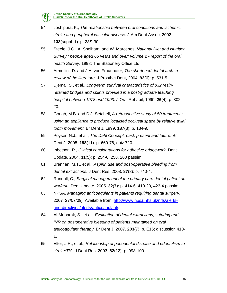<span id="page-47-0"></span>

- 54. Joshipura, K., *[The relationship between oral conditions and ischemic](http://www.ncbi.nlm.nih.gov/pubmed/12085721)  stroke and peripheral vascular disease.* J Am Dent Assoc, 2002. **133**(suppl\_1): p. 23S-30.
- 55. Steele, J.G., A. Sheiham, and W. Marcenes, *National Diet and Nutrition [Survey : people aged 65 years and over; volume 2 - report of the oral](http://www.tsoshop.co.uk/bookstore.asp?FO=1159966&Action=Book&ProductID=0112430279)  health Survey*. 1998: The Stationery Office Ltd.
- [56. Armellini, D. and J.A. von Fraunhofer,](http://www.ncbi.nlm.nih.gov/pubmed/15583557?dopt=Citation) *The shortened dental arch: a review of the literature.* J Prosthet Dent, 2004. **92**(6): p. 531-5.
- 57. Djemal, S., et al., *Long-term survival characteristics of 832 resin[retained bridges and splints provided in a post-graduate teaching](http://www.ncbi.nlm.nih.gov/pubmed/10232858?dopt=Citation)  hospital between 1978 and 1993.* J Oral Rehabil, 1999. **26**(4): p. 302- 20.
- 58. Gough, M.B. and D.J. Setchell, *A retrospective study of 50 treatments [using an appliance to produce localised occlusal space by relative axial](http://www.ncbi.nlm.nih.gov/pubmed/10481364?dopt=Citation)  tooth movement.* Br Dent J, 1999. **187**(3): p. 134-9.
- 59. Poyser, N.J., et al., *[The Dahl Concept: past, present and future.](http://www.ncbi.nlm.nih.gov/pubmed/15951771?dopt=Citation)* Br Dent J, 2005. **198**(11): p. 669-76; quiz 720.
- 60. Ibbetson, R., *[Clinical considerations for adhesive bridgework.](http://www.ncbi.nlm.nih.gov/pubmed/15242258?dopt=Citation)* Dent Update, 2004. **31**(5): p. 254-6, 258, 260 passim.
- 61. Brennan, M.T., et al., *[Aspirin use and post-operative bleeding from](http://www.ncbi.nlm.nih.gov/pubmed/18650545?dopt=Citation)  dental extractions.* J Dent Res, 2008. **87**(8): p. 740-4.
- 62. Randall, C., *[Surgical management of the primary care dental patient on](http://www.ncbi.nlm.nih.gov/pubmed/16178285?dopt=Citation)  warfarin.* Dent Update, 2005. **32**(7): p. 414-6, 419-20, 423-4 passim.
- 63. NPSA. *Managing anticoagulants in patients requiring dental surgery*. [2007 27/07/09\]; Available from: http://www.npsa.nhs.uk/nrls/alerts](http://www.nrls.npsa.nhs.uk/resources/?entryid45=59814)and-directives/alerts/anticoagulant/.
- 64. Al-Mubarak, S., et al., *Evaluation of dental extractions, suturing and [INR on postoperative bleeding of patients maintained on oral](http://www.ncbi.nlm.nih.gov/pubmed/17694045?dopt=Citation)  anticoagulant therapy.* Br Dent J, 2007. **203**(7): p. E15; discussion 410- 1.
- 65. Elter, J.R., et al., *[Relationship of periodontal disease and edentulism to](http://www.ncbi.nlm.nih.gov/pubmed/14630902?dopt=Citation)  stroke/TIA.* J Dent Res, 2003. **82**(12): p. 998-1001.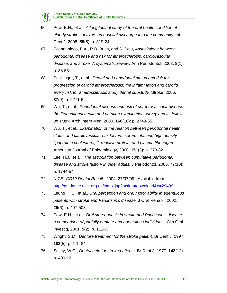<span id="page-48-0"></span>

- 66. Pow, E.H., et al., *A longitudinal study of the oral health condition of [elderly stroke survivors on hospital discharge into the community.](http://www.ncbi.nlm.nih.gov/pubmed/16245468?dopt=Citation)* Int Dent J, 2005. **55**(5): p. 319-24.
- 67. Scannapieco, F.A., R.B. Bush, and S. Paju, *Associations between [periodontal disease and risk for atherosclerosis, cardiovascular](http://www.ncbi.nlm.nih.gov/pubmed/14971247?dopt=Citation)  disease, and stroke. A systematic review.* Ann Periodontol, 2003. **8**(1): p. 38-53.
- 68. Schillinger, T., et al., *Dental and periodontal status and risk for [progression of carotid atherosclerosis: the inflammation and carotid](http://www.ncbi.nlm.nih.gov/pubmed/16888276?dopt=Citation)  artery risk for atherosclerosis study dental substudy.* Stroke, 2006. **37**(9): p. 2271-6.
- 69. Wu, T., et al., *Periodontal disease and risk of cerebrovascular disease: [the first national health and nutrition examination survey and its follow](http://www.ncbi.nlm.nih.gov/pubmed/11025784?dopt=Citation)up study.* Arch Intern Med, 2000. **160**(18): p. 2749-55.
- 70. Wu, T., et al., *Examination of the relation between periodontal health [status and cardiovascular risk factors: serum total and high density](http://www.ncbi.nlm.nih.gov/pubmed/10670552?dopt=Citation)  lipoprotein cholesterol, C-reactive protein, and plasma fibrinogen.* American Journal of Epidemiology, 2000. **151**(3): p. 273-82.
- 71. Lee, H.J., et al., *[The association between cumulative periodontal](http://www.ncbi.nlm.nih.gov/pubmed/17032119?dopt=Citation)  disease and stroke history in older adults.* J Periodontol, 2006. **77**(10): p. 1744-54.
- 72. NICE. *CG19 Dental Recall*. 2004 27/07/09]; Available from: http://guidance.nice.org.uk/index.jsp?action=download&o=29489.
- 73. Leung, K.C., et al., *[Oral perception and oral motor ability in edentulous](http://www.ncbi.nlm.nih.gov/pubmed/12071915?dopt=Citation)  patients with stroke and Parkinson's disease.* J Oral Rehabil, 2002. **29**(6): p. 497-503.
- 74. Pow, E.H., et al., *Oral stereognosis in stroke and Parkinson's disease: [a comparison of partially dentate and edentulous individuals.](http://www.ncbi.nlm.nih.gov/pubmed/11480808?dopt=Citation)* Clin Oral Investig, 2001. **5**(2): p. 112-7.
- 75. Wright, S.M., *[Denture treatment for the stroke patient.](http://www.ncbi.nlm.nih.gov/pubmed/9314659?dopt=Citation)* Br Dent J, 1997. **183**(5): p. 179-84.
- 76. Selley, W.G., *[Dental help for stroke patients.](http://www.ncbi.nlm.nih.gov/pubmed/337981?dopt=Citation)* Br Dent J, 1977. **143**(12): p. 409-12.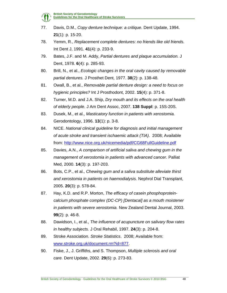<span id="page-49-0"></span>

- 77. Davis, D.M., *[Copy denture technique: a critique.](http://www.ncbi.nlm.nih.gov/pubmed/8056111?dopt=Citation)* Dent Update, 1994. **21**(1): p. 15-20.
- 78. Yemm, R., *[Replacement complete dentures: no friends like old friends.](http://www.ncbi.nlm.nih.gov/pubmed/1917080?dopt=Citation)* Int Dent J, 1991. **41**(4): p. 233-9.
- 79. Bates, J.F. and M. Addy, *[Partial dentures and plaque accumulation.](http://www.ncbi.nlm.nih.gov/pubmed/365902?dopt=Citation)* J Dent, 1978. **6**(4): p. 285-93.
- 80. Brill, N., et al., *[Ecologic changes in the oral cavity caused by removable](http://www.ncbi.nlm.nih.gov/pubmed/268426?dopt=Citation)  partial dentures.* J Prosthet Dent, 1977. **38**(2): p. 138-48.
- 81. Owall, B., et al., *[Removable partial denture design: a need to focus on](http://www.ncbi.nlm.nih.gov/pubmed/12170852?dopt=Citation)  hygienic principles?* Int J Prosthodont, 2002. **15**(4): p. 371-8.
- 82. Turner, M.D. and J.A. Ship, *[Dry mouth and its effects on the oral health](http://www.ncbi.nlm.nih.gov/pubmed/17761841?dopt=Citation)  of elderly people.* J Am Dent Assoc, 2007. **138 Suppl**: p. 15S-20S.
- 83. Dusek, M., et al., *[Masticatory function in patients with xerostomia.](http://www.ncbi.nlm.nih.gov/pubmed/9452636?dopt=Citation)* Gerodontology, 1996. **13**(1): p. 3-8.
- 84. NICE. *National clinical guideline for diagnosis and initial management of acute stroke and transient ischaemic attack (TIA)*. 2008; Available [from: http://www.nice.org.uk/nicemedia/pdf/CG68FullGuideline.pdf](http://www.nice.org.uk/nicemedia/pdf/CG68FullGuideline.pdf)
- 85. Davies, A.N., *A comparison of artificial saliva and chewing gum in the [management of xerostomia in patients with advanced cancer.](http://www.ncbi.nlm.nih.gov/pubmed/10858827?dopt=Citation)* Palliat Med, 2000. **14**(3): p. 197-203.
- 86. Bots, C.P., et al., *[Chewing gum and a saliva substitute alleviate thirst](http://www.ncbi.nlm.nih.gov/pubmed/10858827?dopt=Citation)  and xerostomia in patients on haemodialysis.* Nephrol Dial Transplant, 2005. **20**(3): p. 578-84.
- 87. Hay, K.D. and R.P. Morton, *The efficacy of casein phosphoprotein[calcium phosphate complex \(DC-CP\) \[Dentacal\] as a mouth moistener](http://www.ncbi.nlm.nih.gov/pubmed/15332459?dopt=Citation)  in patients with severe xerostomia.* New Zealand Dental Journal, 2003. **99**(2): p. 46-8.
- 88. Dawidson, I., et al., *[The influence of acupuncture on salivary flow rates](http://www.ncbi.nlm.nih.gov/pubmed/9131475?dopt=Citation)  in healthy subjects.* J Oral Rehabil, 1997. **24**(3): p. 204-8.
- 89. Stroke Association. *Stroke Statistics*. 2008; Available from: [www.stroke.org.uk/document.rm?id=877.](http://www.ncbi.nlm.nih.gov/pubmed/9131475?dopt=Citation)
- [90. Fiske, J., J. Griffiths, and S. Thompson,](http://www.ncbi.nlm.nih.gov/pubmed/12222018?dopt=Citation) *Multiple sclerosis and oral care.* Dent Update, 2002. **29**(6): p. 273-83.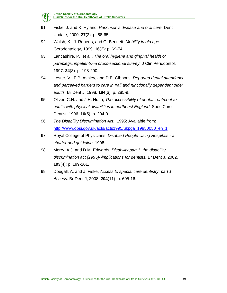<span id="page-50-0"></span>

- 91. Fiske, J. and K. Hyland, *[Parkinson's disease and oral care.](http://www.ncbi.nlm.nih.gov/pubmed/11218273?dopt=Citation)* Dent Update, 2000. **27**(2): p. 58-65.
- [92. Walsh, K., J. Roberts, and G. Bennett,](http://www.ncbi.nlm.nih.gov/pubmed/10825844?dopt=Citation) *Mobility in old age.* Gerodontology, 1999. **16**(2): p. 69-74.
- 93. Lancashire, P., et al., *The oral hygiene and gingival health of [paraplegic inpatients--a cross-sectional survey.](http://www.ncbi.nlm.nih.gov/pubmed/9083905?dopt=Citation)* J Clin Periodontol, 1997. **24**(3): p. 198-200.
- 94. Lester, V., F.P. Ashley, and D.E. Gibbons, *Reported dental attendance [and perceived barriers to care in frail and functionally dependent older](http://www.ncbi.nlm.nih.gov/pubmed/9581365?dopt=Citation)  adults.* Br Dent J, 1998. **184**(6): p. 285-9.
- 95. Oliver, C.H. and J.H. Nunn, *The accessibility of dental treatment to [adults with physical disabilities in northeast England.](http://www.ncbi.nlm.nih.gov/pubmed/9582722?dopt=Citation)* Spec Care Dentist, 1996. **16**(5): p. 204-9.
- 96. *The Disability Discrimination Act*. 1995; Available from: http://www.opsi.gov.uk/acts/acts1995/ukpga\_19950050\_en\_1.
- 97. Royal College of Physicians, *[Disabled People Using Hospitals a](http://bookshop.rcplondon.ac.uk/details.aspx?e=72)  charter and guideline.* 1998.
- 98. Merry, A.J. and D.M. Edwards, *Disability part 1: the disability [discrimination act \(1995\)--implications for dentists.](http://www.ncbi.nlm.nih.gov/pubmed/12222905?dopt=Citation)* Br Dent J, 2002. **193**(4): p. 199-201.
- 99. Dougall, A. and J. Fiske, *[Access to special care dentistry, part 1.](http://www.ncbi.nlm.nih.gov/pubmed/18552796?dopt=Citation)  Access.* Br Dent J, 2008. **204**(11): p. 605-16.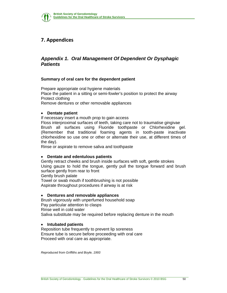<span id="page-51-0"></span>

# **7. Appendices**

## *Appendix 1. Oral Management Of Dependent Or Dysphagic Patients*

#### **Summary of oral care for the dependent patient**

Prepare appropriate oral hygiene materials Place the patient in a sitting or semi-fowler's position to protect the airway Protect clothing Remove dentures or other removable appliances

#### • **Dentate patient**

If necessary insert a mouth prop to gain access

Floss interproximal surfaces of teeth, taking care not to traumatise gingivae Brush all surfaces using Fluoride toothpaste or Chlorhexidine gel. (Remember that traditional foaming agents in tooth-paste inactivate chlorhexidine so use one or other or alternate their use, at different times of the day).

Rinse or aspirate to remove saliva and toothpaste

#### • **Dentate and edentulous patients**

Gently retract cheeks and brush inside surfaces with soft, gentle strokes Using gauze to hold the tongue, gently pull the tongue forward and brush surface gently from rear to front

Gently brush palate

Towel or swab mouth if toothbrushing is not possible Aspirate throughout procedures if airway is at risk

#### • **Dentures and removable appliances**

Brush vigorously with unperfumed household soap Pay particular attention to clasps Rinse well in cold water Saliva substitute may be required before replacing denture in the mouth

#### • **Intubated patients**

Reposition tube frequently to prevent lip soreness Ensure tube is secure before proceeding with oral care Proceed with oral care as appropriate.

*Reproduced from Griffiths and Boyle, 1993*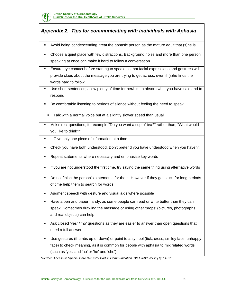<span id="page-52-0"></span>

# *Appendix 2. Tips for communicating with individuals with Aphasia*

- Avoid being condescending, treat the aphasic person as the mature adult that (s)he is
- Choose a quiet place with few distractions. Background noise and more than one person speaking at once can make it hard to follow a conversation
- Ensure eye contact before starting to speak, so that facial expressions and gestures will provide clues about the message you are trying to get across, even if (s)he finds the words hard to follow
- Use short sentences; allow plenty of time for her/him to absorb what you have said and to respond
- Be comfortable listening to periods of silence without feeling the need to speak
	- Talk with a normal voice but at a slightly slower speed than usual
- Ask direct questions, for example "Do you want a cup of tea?" rather than, "What would you like to drink?"
- Give only one piece of information at a time
- Check you have both understood. Don't pretend you have understood when you haven't!
- Repeat statements where necessary and emphasize key words
- If you are not understood the first time, try saying the same thing using alternative words
- Do not finish the person's statements for them. However if they get stuck for long periods of time help them to search for words
- Augment speech with gesture and visual aids where possible
- Have a pen and paper handy, as some people can read or write better than they can speak. Sometimes drawing the message or using other 'props' (pictures, photographs and real objects) can help
- Ask closed 'yes' / 'no' questions as they are easier to answer than open questions that need a full answer
- Use gestures (thumbs up or down) or point to a symbol (tick, cross, smiley face, unhappy face) to check meaning, as it is common for people with aphasia to mix related words (such as 'yes' and 'no' or 'he' and 'she')

*Source: Access to Special Care Dentistry Part 2: Communication. BDJ 2008 Vol 25(1): 11- 21*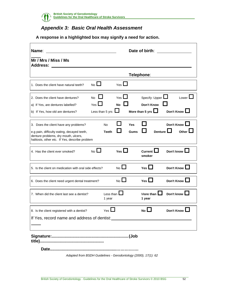<span id="page-53-0"></span>

# *Appendix 3: Basic Oral Health Assessment*

**A response in a highlighted box may signify a need for action.** 

| Name:                                                                                                                                 |                     |             | Date of birth:      |                   |  |  |  |
|---------------------------------------------------------------------------------------------------------------------------------------|---------------------|-------------|---------------------|-------------------|--|--|--|
| Mr / Mrs / Miss / Ms<br><b>Address:</b>                                                                                               |                     |             |                     |                   |  |  |  |
|                                                                                                                                       |                     |             | Telephone:          |                   |  |  |  |
| 1. Does the client have natural teeth?                                                                                                | $No$ $\Box$         | Yes         |                     |                   |  |  |  |
| 2. Does the client have dentures?                                                                                                     | <b>No</b>           | Yes         | Specify: Upper      | Lower             |  |  |  |
| a) If Yes, are dentures labelled?                                                                                                     | <b>Yes</b>          | <b>No</b>   | Don't Know          |                   |  |  |  |
| b) If Yes, how old are dentures?                                                                                                      | Less than 5 yrs     |             | More than 5 yrs     | <b>Don't Know</b> |  |  |  |
| 3. Does the client have any problems?                                                                                                 | No                  | <b>Yes</b>  |                     | <b>Don't Know</b> |  |  |  |
| e.g pain, difficulty eating, decayed teeth,<br>denture problems, dry mouth, ulcers,<br>halitosis, other etc. If Yes, describe problem | <b>Teeth</b>        | Gums        | <b>Denture</b>      | Other             |  |  |  |
| 4. Has the client ever smoked?                                                                                                        | No L                | Yes L       | Current<br>smoker   | Don't know        |  |  |  |
| 5. Is the client on medication with oral side effects?                                                                                |                     | $No$ $\Box$ | Yes $\Box$          | Don't Know        |  |  |  |
| 6. Does the client need urgent dental treatment?                                                                                      |                     | No L        | Yes $\Box$          | <b>Don't Know</b> |  |  |  |
| 7. When did the client last see a dentist?                                                                                            | Less than<br>1 year |             | More than<br>1 year | Don't know        |  |  |  |
| 8. Is the client registered with a dentist?                                                                                           | Yes $\Box$          |             | $\overline{N}$      | Don't Know L      |  |  |  |
| If Yes, record name and address of dentist:                                                                                           |                     |             |                     |                   |  |  |  |
|                                                                                                                                       |                     |             |                     |                   |  |  |  |
|                                                                                                                                       |                     |             |                     |                   |  |  |  |

*Adapted from BSDH Guidelines - Gerodontology (2000), 17(1): 62*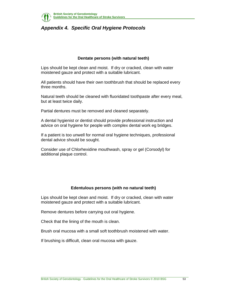<span id="page-54-0"></span>

# *Appendix 4. Specific Oral Hygiene Protocols*

#### **Dentate persons (with natural teeth)**

Lips should be kept clean and moist. If dry or cracked, clean with water moistened gauze and protect with a suitable lubricant.

All patients should have their own toothbrush that should be replaced every three months.

Natural teeth should be cleaned with fluoridated toothpaste after every meal, but at least twice daily.

Partial dentures must be removed and cleaned separately.

A dental hygienist or dentist should provide professional instruction and advice on oral hygiene for people with complex dental work eg bridges.

If a patient is too unwell for normal oral hygiene techniques, professional dental advice should be sought.

Consider use of Chlorhexidine mouthwash, spray or gel (Corsodyl) for additional plaque control.

#### **Edentulous persons (with no natural teeth)**

Lips should be kept clean and moist. If dry or cracked, clean with water moistened gauze and protect with a suitable lubricant.

Remove dentures before carrying out oral hygiene.

Check that the lining of the mouth is clean.

Brush oral mucosa with a small soft toothbrush moistened with water.

If brushing is difficult, clean oral mucosa with gauze.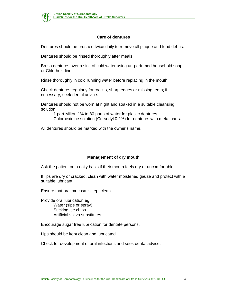

#### **Care of dentures**

Dentures should be brushed twice daily to remove all plaque and food debris.

Dentures should be rinsed thoroughly after meals.

Brush dentures over a sink of cold water using un-perfumed household soap or Chlorhexidine.

Rinse thoroughly in cold running water before replacing in the mouth.

Check dentures regularly for cracks, sharp edges or missing teeth; if necessary, seek dental advice.

Dentures should not be worn at night and soaked in a suitable cleansing solution

 1 part Milton 1% to 80 parts of water for plastic dentures Chlorhexidine solution (Corsodyl 0.2%) for dentures with metal parts.

All dentures should be marked with the owner's name.

#### **Management of dry mouth**

Ask the patient on a daily basis if their mouth feels dry or uncomfortable.

If lips are dry or cracked, clean with water moistened gauze and protect with a suitable lubricant.

Ensure that oral mucosa is kept clean.

Provide oral lubrication eg Water (sips or spray) Sucking ice chips Artificial saliva substitutes.

Encourage sugar free lubrication for dentate persons.

Lips should be kept clean and lubricated.

Check for development of oral infections and seek dental advice.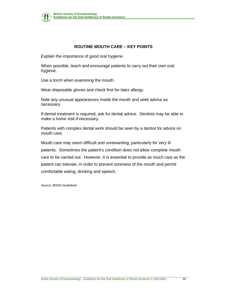

#### **ROUTINE MOUTH CARE – KEY POINTS**

Explain the importance of good oral hygiene.

When possible, teach and encourage patients to carry out their own oral hygiene.

Use a torch when examining the mouth.

Wear disposable gloves and check first for latex allergy.

Note any unusual appearances inside the mouth and seek advice as necessary.

If dental treatment is required, ask for dental advice. Dentists may be able to make a home visit if necessary.

Patients with complex dental work should be seen by a dentist for advice on mouth care.

Mouth care may seem difficult and unrewarding, particularly for very ill patients. Sometimes the patient's condition does not allow complete mouth care to be carried out. However, it is essential to provide as much care as the patient can tolerate, in order to prevent soreness of the mouth and permit comfortable eating, drinking and speech.

*Source: BSDH Guidelines*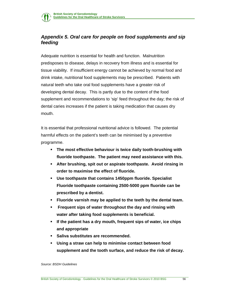# <span id="page-57-0"></span>*Appendix 5. Oral care for people on food supplements and sip feeding*

Adequate nutrition is essential for health and function. Malnutrition predisposes to disease, delays in recovery from illness and is essential for tissue viability. If insufficient energy cannot be achieved by normal food and drink intake, nutritional food supplements may be prescribed. Patients with natural teeth who take oral food supplements have a greater risk of developing dental decay. This is partly due to the content of the food supplement and recommendations to 'sip' feed throughout the day; the risk of dental caries increases if the patient is taking medication that causes dry mouth.

It is essential that professional nutritional advice is followed. The potential harmful effects on the patient's teeth can be minimised by a preventive programme.

- **The most effective behaviour is twice daily tooth-brushing with fluoride toothpaste. The patient may need assistance with this.**
- **After brushing, spit out or aspirate toothpaste. Avoid rinsing in order to maximise the effect of fluoride.**
- **Use toothpaste that contains 1450ppm fluoride. Specialist Fluoride toothpaste containing 2500-5000 ppm fluoride can be prescribed by a dentist.**
- **Fluoride varnish may be applied to the teeth by the dental team.**
- **Frequent sips of water throughout the day and rinsing with water after taking food supplements is beneficial.**
- **If the patient has a dry mouth, frequent sips of water, ice chips and appropriate**
- **Saliva substitutes are recommended.**
- **Using a straw can help to minimise contact between food supplement and the tooth surface, and reduce the risk of decay.**

*Source: BSDH Guidelines*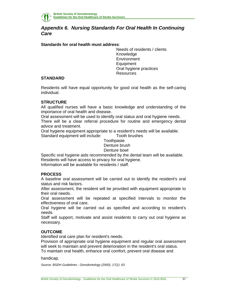<span id="page-58-0"></span>

## *Appendix 6. Nursing Standards For Oral Health In Continuing Care*

#### **Standards for oral health must address**:

Needs of residents / clients Knowledge Environment Equipment Oral hygiene practices Resources

#### **STANDARD**

Residents will have equal opportunity for good oral health as the self-caring individual.

#### **STRUCTURE**

All qualified nurses will have a basic knowledge and understanding of the importance of oral health and disease.

Oral assessment will be used to identify oral status and oral hygiene needs.

There will be a clear referral procedure for routine and emergency dental advice and treatment.

Oral hygiene equipment appropriate to a resident's needs will be available.

Standard equipment will include: Tooth brushes

## **Toothpaste**  Denture brush Denture bowl

Specific oral hygiene aids recommended by the dental team will be available. Residents will have access to privacy for oral hygiene.

Information will be available for residents / staff.

#### **PROCESS**

A baseline oral assessment will be carried out to identify the resident's oral status and risk factors.

After assessment, the resident will be provided with equipment appropriate to their oral needs.

Oral assessment will be repeated at specified intervals to monitor the effectiveness of oral care.

Oral hygiene will be carried out as specified and according to resident's needs.

Staff will support, motivate and assist residents to carry out oral hygiene as necessary.

#### **OUTCOME**

Identified oral care plan for resident's needs.

Provision of appropriate oral hygiene equipment and regular oral assessment will seek to maintain and prevent deterioration in the resident's oral status. To maintain oral health, enhance oral comfort, prevent oral disease and

#### handicap.

*Source: BSDH Guidelines - Gerodontology (2000), 17(1): 63*